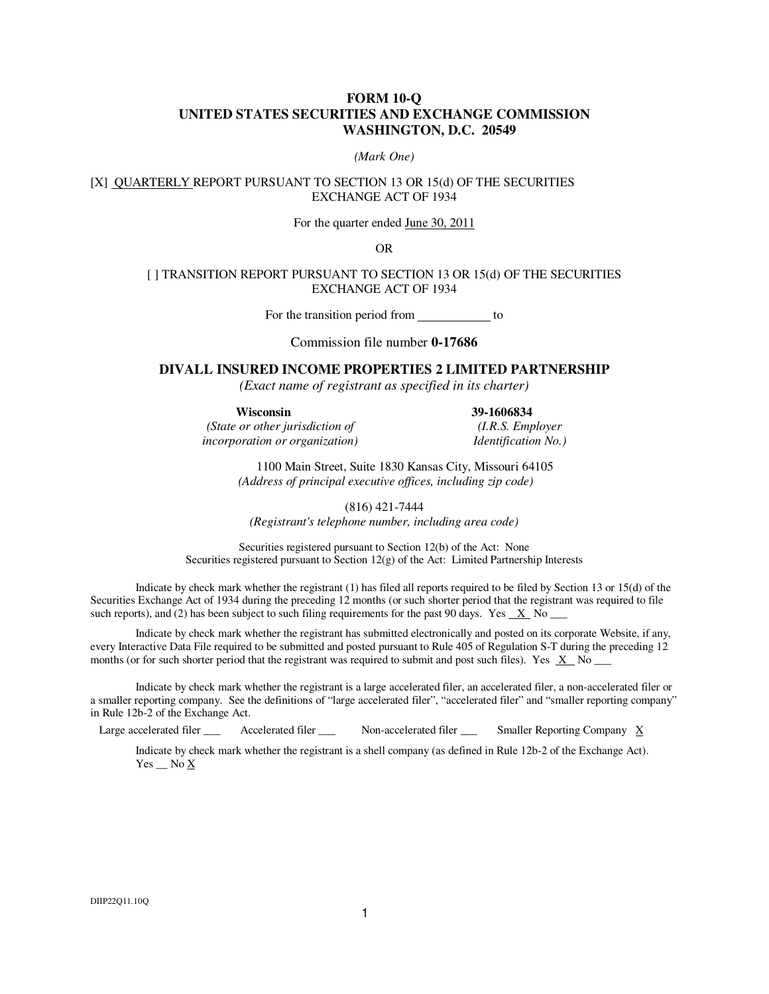#### **FORM 10-Q UNITED STATES SECURITIES AND EXCHANGE COMMISSION WASHINGTON, D.C. 20549**

#### *(Mark One)*

[X] QUARTERLY REPORT PURSUANT TO SECTION 13 OR 15(d) OF THE SECURITIES EXCHANGE ACT OF 1934

For the quarter ended June 30, 2011

OR

#### [ ] TRANSITION REPORT PURSUANT TO SECTION 13 OR 15(d) OF THE SECURITIES EXCHANGE ACT OF 1934

For the transition period from \_\_\_\_\_\_\_\_\_\_\_ to

Commission file number **0-17686**

#### **DIVALL INSURED INCOME PROPERTIES 2 LIMITED PARTNERSHIP**

*(Exact name of registrant as specified in its charter)* 

**Wisconsin 39-1606834** 

*(State or other jurisdiction of (I.R.S. Employer incorporation or organization) Identification No.)* 

 1100 Main Street, Suite 1830 Kansas City, Missouri 64105  *(Address of principal executive offices, including zip code)*

(816) 421-7444

*(Registrant's telephone number, including area code)* 

Securities registered pursuant to Section 12(b) of the Act: None Securities registered pursuant to Section 12(g) of the Act: Limited Partnership Interests

Indicate by check mark whether the registrant (1) has filed all reports required to be filed by Section 13 or 15(d) of the Securities Exchange Act of 1934 during the preceding 12 months (or such shorter period that the registrant was required to file such reports), and (2) has been subject to such filing requirements for the past 90 days. Yes  $\underline{X}$  No  $\underline{X}$ 

Indicate by check mark whether the registrant has submitted electronically and posted on its corporate Website, if any, every Interactive Data File required to be submitted and posted pursuant to Rule 405 of Regulation S-T during the preceding 12 months (or for such shorter period that the registrant was required to submit and post such files). Yes  $X$  No  $\overline{\phantom{X}}$ 

Indicate by check mark whether the registrant is a large accelerated filer, an accelerated filer, a non-accelerated filer or a smaller reporting company. See the definitions of "large accelerated filer", "accelerated filer" and "smaller reporting company" in Rule 12b-2 of the Exchange Act.

Accelerated filer  $\Box$  Non-accelerated filer  $\Box$  Smaller Reporting Company X Large accelerated filer

Indicate by check mark whether the registrant is a shell company (as defined in Rule 12b-2 of the Exchange Act). Yes  $\_\_$  No  $\overline{X}$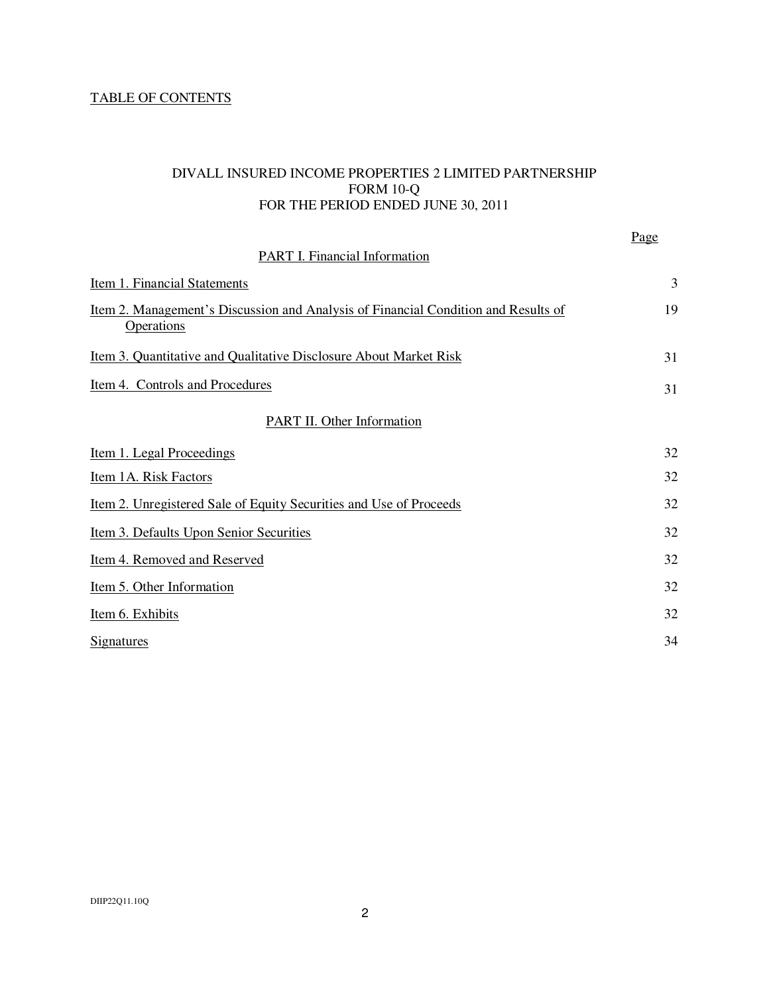# TABLE OF CONTENTS

# DIVALL INSURED INCOME PROPERTIES 2 LIMITED PARTNERSHIP FORM 10-Q FOR THE PERIOD ENDED JUNE 30, 2011

Page

| <b>PART I. Financial Information</b>                                                                           |    |
|----------------------------------------------------------------------------------------------------------------|----|
| Item 1. Financial Statements                                                                                   | 3  |
| <u>Item 2. Management's Discussion and Analysis of Financial Condition and Results of</u><br><b>Operations</b> | 19 |
| Item 3. Quantitative and Qualitative Disclosure About Market Risk                                              | 31 |
| Item 4. Controls and Procedures                                                                                | 31 |
| <b>PART II. Other Information</b>                                                                              |    |
| <u>Item 1. Legal Proceedings</u>                                                                               | 32 |
| Item 1A. Risk Factors                                                                                          | 32 |
| Item 2. Unregistered Sale of Equity Securities and Use of Proceeds                                             | 32 |
| Item 3. Defaults Upon Senior Securities                                                                        | 32 |
| Item 4. Removed and Reserved                                                                                   | 32 |
| Item 5. Other Information                                                                                      | 32 |
| Item 6. Exhibits                                                                                               | 32 |
| <b>Signatures</b>                                                                                              | 34 |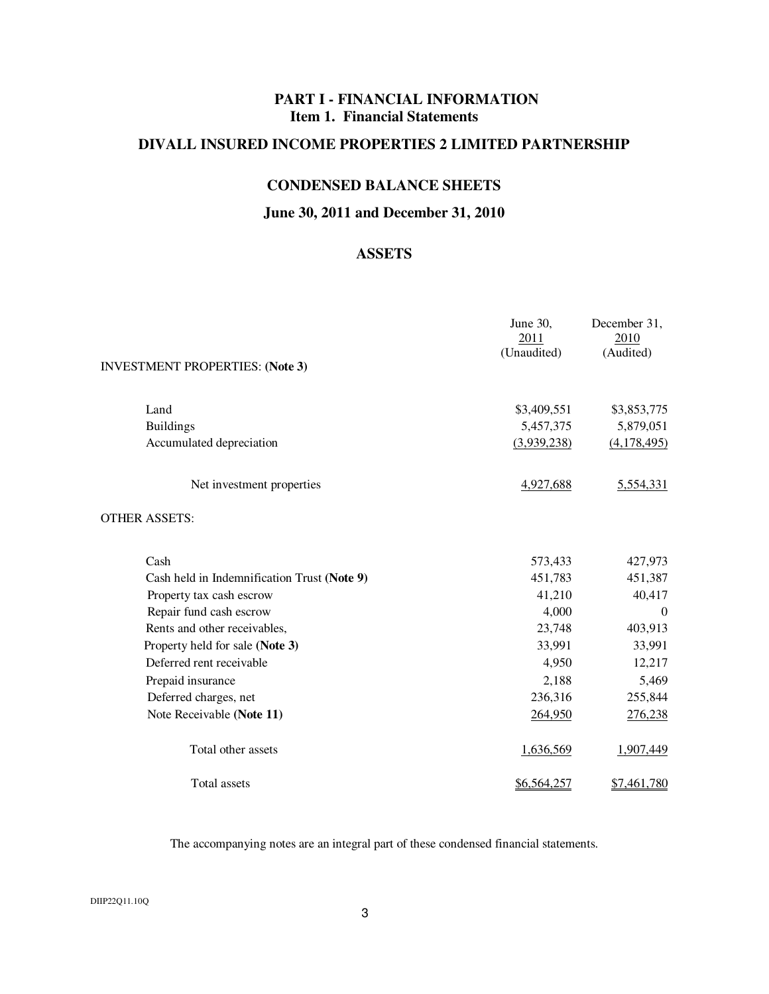# **PART I - FINANCIAL INFORMATION Item 1. Financial Statements**

# **DIVALL INSURED INCOME PROPERTIES 2 LIMITED PARTNERSHIP**

# **CONDENSED BALANCE SHEETS**

# **June 30, 2011 and December 31, 2010**

# **ASSETS**

|                                             | June 30,<br>2011<br>(Unaudited) | December 31,<br>2010<br>(Audited) |
|---------------------------------------------|---------------------------------|-----------------------------------|
| <b>INVESTMENT PROPERTIES: (Note 3)</b>      |                                 |                                   |
| Land                                        | \$3,409,551                     | \$3,853,775                       |
| <b>Buildings</b>                            | 5,457,375                       | 5,879,051                         |
| Accumulated depreciation                    | (3,939,238)                     | (4,178,495)                       |
| Net investment properties                   | 4,927,688                       | 5,554,331                         |
| <b>OTHER ASSETS:</b>                        |                                 |                                   |
| Cash                                        | 573,433                         | 427,973                           |
| Cash held in Indemnification Trust (Note 9) | 451,783                         | 451,387                           |
| Property tax cash escrow                    | 41,210                          | 40,417                            |
| Repair fund cash escrow                     | 4,000                           | $\Omega$                          |
| Rents and other receivables,                | 23,748                          | 403,913                           |
| Property held for sale (Note 3)             | 33,991                          | 33,991                            |
| Deferred rent receivable                    | 4,950                           | 12,217                            |
| Prepaid insurance                           | 2,188                           | 5,469                             |
| Deferred charges, net                       | 236,316                         | 255,844                           |
| Note Receivable (Note 11)                   | 264,950                         | 276,238                           |
| Total other assets                          | 1,636,569                       | 1,907,449                         |
| Total assets                                | \$6,564,257                     | \$7,461,780                       |

The accompanying notes are an integral part of these condensed financial statements.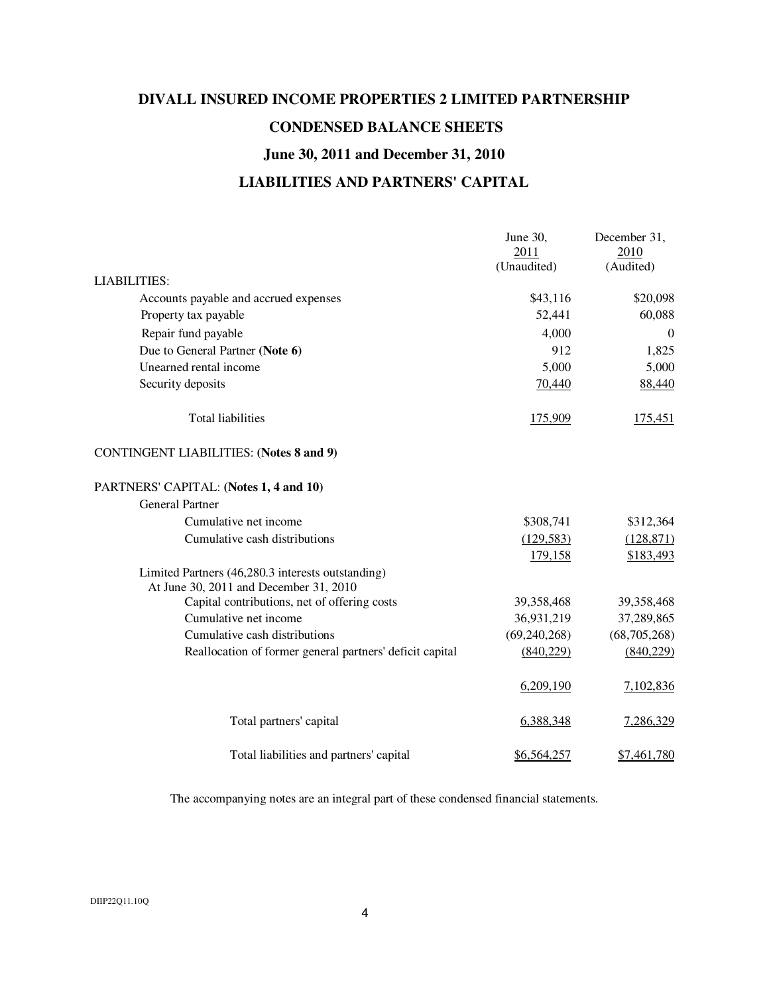# **DIVALL INSURED INCOME PROPERTIES 2 LIMITED PARTNERSHIP CONDENSED BALANCE SHEETS June 30, 2011 and December 31, 2010 LIABILITIES AND PARTNERS' CAPITAL**

|                                                                                             | June 30,<br>2011 | December 31,<br>2010 |
|---------------------------------------------------------------------------------------------|------------------|----------------------|
|                                                                                             | (Unaudited)      | (Audited)            |
| <b>LIABILITIES:</b>                                                                         |                  |                      |
| Accounts payable and accrued expenses                                                       | \$43,116         | \$20,098             |
| Property tax payable                                                                        | 52,441           | 60,088               |
| Repair fund payable                                                                         | 4,000            | $\overline{0}$       |
| Due to General Partner (Note 6)                                                             | 912              | 1,825                |
| Unearned rental income                                                                      | 5,000            | 5,000                |
| Security deposits                                                                           | 70,440           | 88,440               |
| <b>Total liabilities</b>                                                                    | 175,909          | 175,451              |
| <b>CONTINGENT LIABILITIES: (Notes 8 and 9)</b>                                              |                  |                      |
| PARTNERS' CAPITAL: (Notes 1, 4 and 10)                                                      |                  |                      |
| <b>General Partner</b>                                                                      |                  |                      |
| Cumulative net income                                                                       | \$308,741        | \$312,364            |
| Cumulative cash distributions                                                               | (129, 583)       | (128, 871)           |
|                                                                                             | 179,158          | \$183,493            |
| Limited Partners (46,280.3 interests outstanding)<br>At June 30, 2011 and December 31, 2010 |                  |                      |
| Capital contributions, net of offering costs                                                | 39,358,468       | 39,358,468           |
| Cumulative net income                                                                       | 36,931,219       | 37,289,865           |
| Cumulative cash distributions                                                               | (69, 240, 268)   | (68, 705, 268)       |
| Reallocation of former general partners' deficit capital                                    | (840, 229)       | (840, 229)           |
|                                                                                             | 6,209,190        | 7,102,836            |
| Total partners' capital                                                                     | 6,388,348        | 7,286,329            |
| Total liabilities and partners' capital                                                     | \$6,564,257      | <u>\$7,461,780</u>   |

The accompanying notes are an integral part of these condensed financial statements.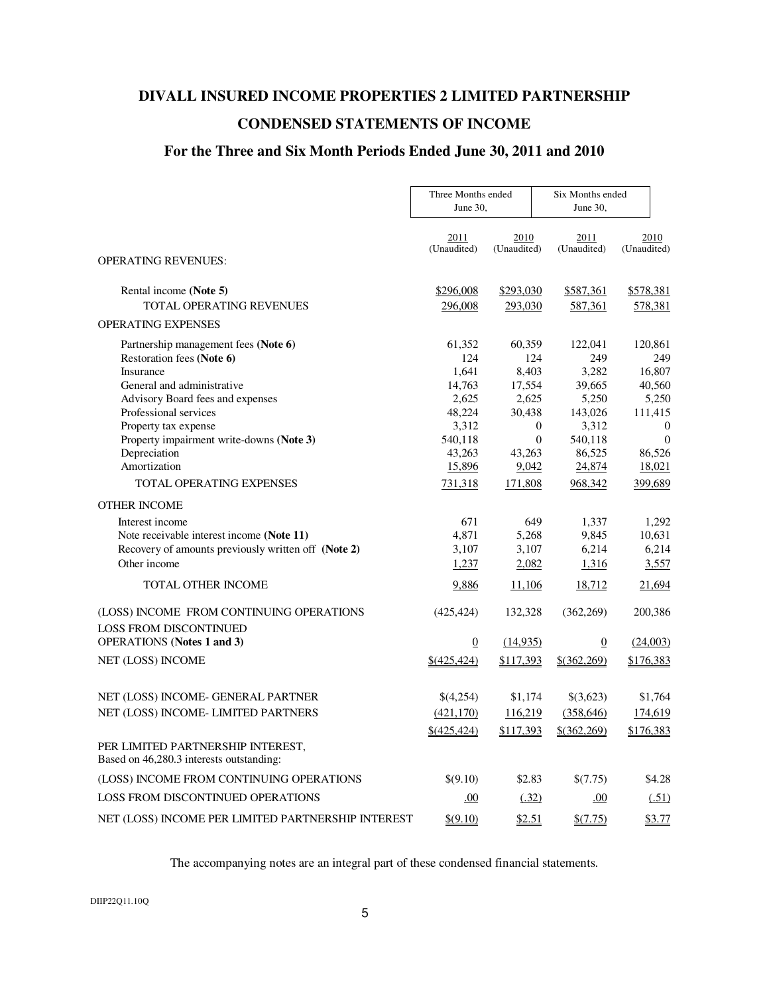# **DIVALL INSURED INCOME PROPERTIES 2 LIMITED PARTNERSHIP**

# **CONDENSED STATEMENTS OF INCOME**

# **For the Three and Six Month Periods Ended June 30, 2011 and 2010**

|                                                                               | Three Months ended<br>June $30.$ |                      | Six Months ended<br>June 30, |                      |
|-------------------------------------------------------------------------------|----------------------------------|----------------------|------------------------------|----------------------|
|                                                                               | 2011<br>(Unaudited)              | 2010<br>(Unaudited)  | 2011<br>(Unaudited)          | 2010<br>(Unaudited)  |
| <b>OPERATING REVENUES:</b>                                                    |                                  |                      |                              |                      |
| Rental income (Note 5)                                                        | \$296,008                        | \$293,030            | \$587,361                    | \$578,381            |
| TOTAL OPERATING REVENUES                                                      | 296,008                          | 293,030              | 587,361                      | 578,381              |
| <b>OPERATING EXPENSES</b>                                                     |                                  |                      |                              |                      |
| Partnership management fees (Note 6)                                          | 61,352                           | 60,359               | 122,041                      | 120,861              |
| Restoration fees (Note 6)                                                     | 124                              | 124                  | 249                          | 249                  |
| Insurance                                                                     | 1,641                            | 8,403                | 3,282                        | 16,807               |
| General and administrative                                                    | 14,763                           | 17,554               | 39,665                       | 40,560               |
| Advisory Board fees and expenses                                              | 2,625                            | 2,625                | 5,250                        | 5,250                |
| Professional services                                                         | 48,224                           | 30,438               | 143,026                      | 111,415              |
| Property tax expense                                                          | 3,312                            | $\theta$<br>$\theta$ | 3,312                        | $\theta$<br>$\theta$ |
| Property impairment write-downs (Note 3)<br>Depreciation                      | 540,118<br>43,263                | 43,263               | 540,118<br>86,525            | 86,526               |
| Amortization                                                                  | 15,896                           | 9,042                | 24,874                       | 18,021               |
| <b>TOTAL OPERATING EXPENSES</b>                                               | 731,318                          | 171,808              | 968,342                      | 399,689              |
| <b>OTHER INCOME</b>                                                           |                                  |                      |                              |                      |
| Interest income                                                               | 671                              | 649                  | 1,337                        | 1,292                |
| Note receivable interest income (Note 11)                                     | 4,871                            | 5,268                | 9,845                        | 10,631               |
| Recovery of amounts previously written off (Note 2)                           | 3,107                            | 3,107                | 6,214                        | 6,214                |
| Other income                                                                  | 1,237                            | 2,082                | 1,316                        | 3,557                |
| <b>TOTAL OTHER INCOME</b>                                                     | 9,886                            | 11,106               | 18,712                       | 21,694               |
| (LOSS) INCOME FROM CONTINUING OPERATIONS                                      | (425, 424)                       | 132,328              | (362, 269)                   | 200,386              |
| <b>LOSS FROM DISCONTINUED</b>                                                 |                                  |                      |                              |                      |
| <b>OPERATIONS</b> (Notes 1 and 3)                                             | $\overline{0}$                   | (14,935)             | $\boldsymbol{0}$             | (24,003)             |
| NET (LOSS) INCOME                                                             | \$(425, 424)                     | \$117,393            | $$$ (362,269)                | \$176,383            |
| NET (LOSS) INCOME- GENERAL PARTNER                                            | \$(4,254)                        | \$1,174              | \$(3,623)                    | \$1,764              |
| NET (LOSS) INCOME- LIMITED PARTNERS                                           | (421, 170)                       | 116,219              | (358, 646)                   | 174,619              |
|                                                                               | \$(425, 424)                     | \$117,393            | $$$ (362,269)                | \$176,383            |
| PER LIMITED PARTNERSHIP INTEREST,<br>Based on 46,280.3 interests outstanding: |                                  |                      |                              |                      |
| (LOSS) INCOME FROM CONTINUING OPERATIONS                                      | \$(9.10)                         | \$2.83               | \$(7.75)                     | \$4.28               |
| <b>LOSS FROM DISCONTINUED OPERATIONS</b>                                      | .00                              | (.32)                | .00                          | (.51)                |
| NET (LOSS) INCOME PER LIMITED PARTNERSHIP INTEREST                            | \$(9.10)                         | \$2.51               | \$(7.75)                     | \$3.77               |

The accompanying notes are an integral part of these condensed financial statements.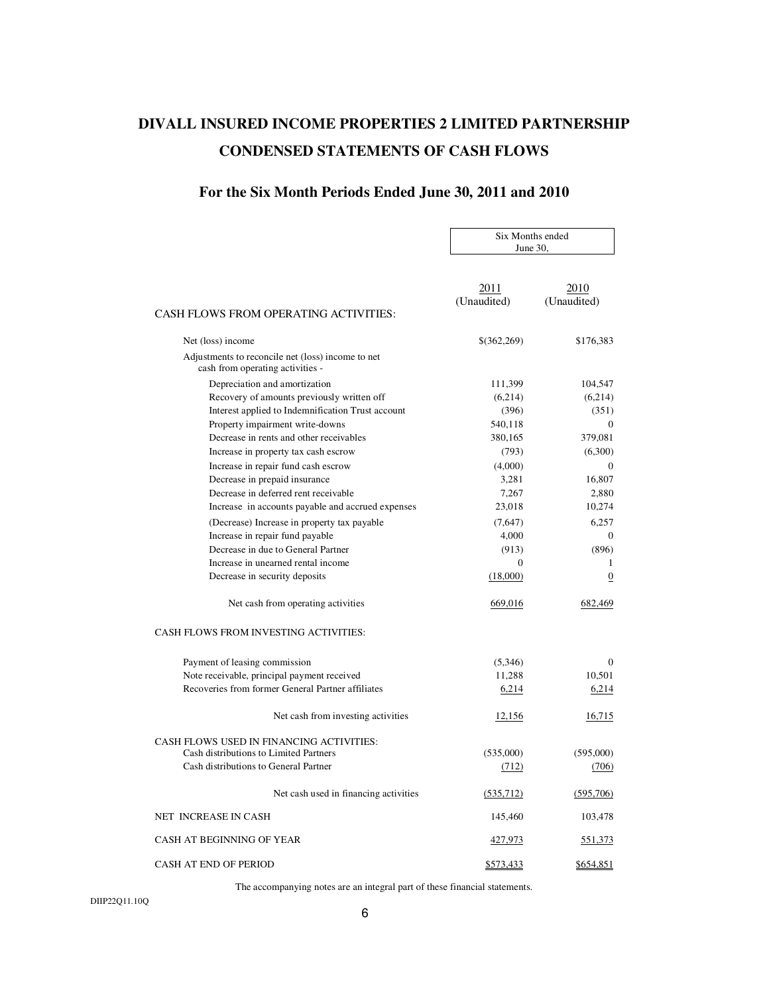# **DIVALL INSURED INCOME PROPERTIES 2 LIMITED PARTNERSHIP CONDENSED STATEMENTS OF CASH FLOWS**

# **For the Six Month Periods Ended June 30, 2011 and 2010**

|                                                                                       |                     | Six Months ended<br>June $30$ , |  |
|---------------------------------------------------------------------------------------|---------------------|---------------------------------|--|
|                                                                                       |                     |                                 |  |
| <b>CASH FLOWS FROM OPERATING ACTIVITIES:</b>                                          | 2011<br>(Unaudited) | 2010<br>(Unaudited)             |  |
| Net (loss) income                                                                     | \$(362,269)         | \$176,383                       |  |
| Adjustments to reconcile net (loss) income to net<br>cash from operating activities - |                     |                                 |  |
| Depreciation and amortization                                                         | 111,399             | 104,547                         |  |
| Recovery of amounts previously written off                                            | (6,214)             | (6,214)                         |  |
| Interest applied to Indemnification Trust account                                     | (396)               | (351)                           |  |
| Property impairment write-downs                                                       | 540,118             | $\overline{0}$                  |  |
| Decrease in rents and other receivables                                               | 380,165             | 379,081                         |  |
| Increase in property tax cash escrow                                                  | (793)               | (6,300)                         |  |
| Increase in repair fund cash escrow                                                   | (4,000)             | $\Omega$                        |  |
| Decrease in prepaid insurance                                                         | 3,281               | 16.807                          |  |
| Decrease in deferred rent receivable                                                  | 7,267               | 2,880                           |  |
| Increase in accounts payable and accrued expenses                                     | 23,018              | 10,274                          |  |
| (Decrease) Increase in property tax payable                                           | (7,647)             | 6,257                           |  |
| Increase in repair fund payable                                                       | 4,000               | $\overline{0}$                  |  |
| Decrease in due to General Partner                                                    | (913)               | (896)                           |  |
| Increase in unearned rental income                                                    | $\mathbf{0}$        | $\mathbf{1}$                    |  |
| Decrease in security deposits                                                         | (18,000)            | $\boldsymbol{0}$                |  |
| Net cash from operating activities                                                    | 669,016             | 682,469                         |  |
| CASH FLOWS FROM INVESTING ACTIVITIES:                                                 |                     |                                 |  |
| Payment of leasing commission                                                         | (5,346)             | $\mathbf{0}$                    |  |
| Note receivable, principal payment received                                           | 11,288              | 10.501                          |  |
| Recoveries from former General Partner affiliates                                     | 6,214               | 6,214                           |  |
| Net cash from investing activities                                                    | 12,156              | 16,715                          |  |
| CASH FLOWS USED IN FINANCING ACTIVITIES:<br>Cash distributions to Limited Partners    | (535,000)           | (595,000)                       |  |
| Cash distributions to General Partner                                                 | (712)               | (706)                           |  |
| Net cash used in financing activities                                                 | (535,712)           | (595,706)                       |  |
| NET INCREASE IN CASH                                                                  | 145,460             | 103,478                         |  |
| CASH AT BEGINNING OF YEAR                                                             | 427,973             | 551,373                         |  |
| <b>CASH AT END OF PERIOD</b>                                                          | \$573,433           | <u>\$654,851</u>                |  |

The accompanying notes are an integral part of these financial statements.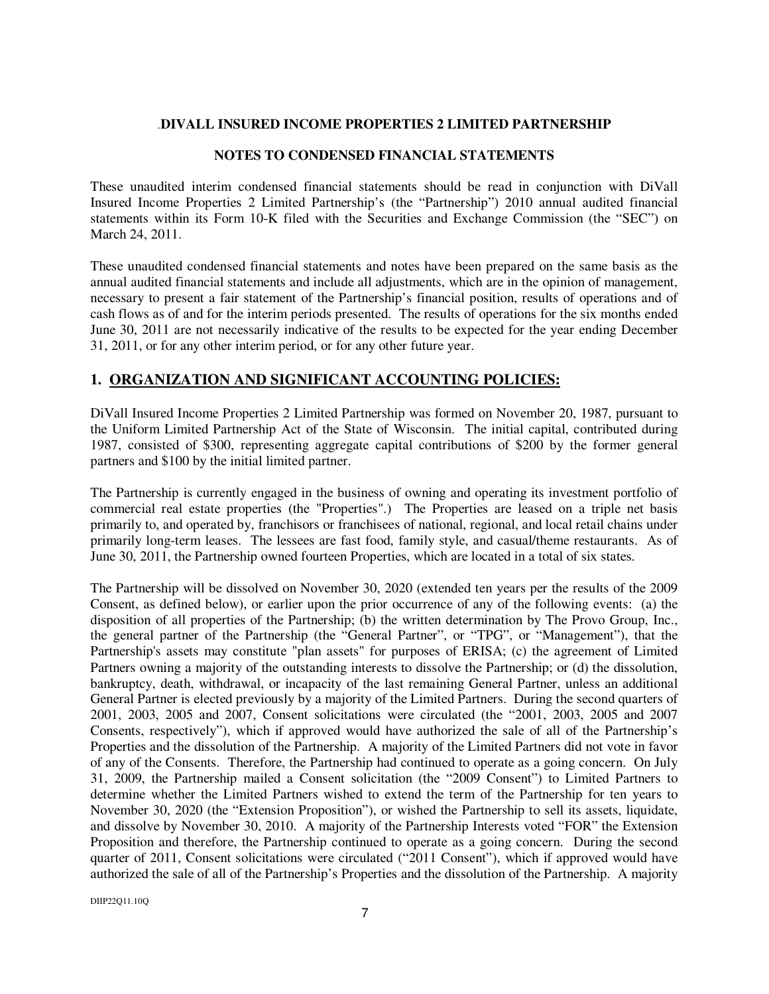#### .**DIVALL INSURED INCOME PROPERTIES 2 LIMITED PARTNERSHIP**

#### **NOTES TO CONDENSED FINANCIAL STATEMENTS**

These unaudited interim condensed financial statements should be read in conjunction with DiVall Insured Income Properties 2 Limited Partnership's (the "Partnership") 2010 annual audited financial statements within its Form 10-K filed with the Securities and Exchange Commission (the "SEC") on March 24, 2011.

These unaudited condensed financial statements and notes have been prepared on the same basis as the annual audited financial statements and include all adjustments, which are in the opinion of management, necessary to present a fair statement of the Partnership's financial position, results of operations and of cash flows as of and for the interim periods presented. The results of operations for the six months ended June 30, 2011 are not necessarily indicative of the results to be expected for the year ending December 31, 2011, or for any other interim period, or for any other future year.

#### **1. ORGANIZATION AND SIGNIFICANT ACCOUNTING POLICIES:**

DiVall Insured Income Properties 2 Limited Partnership was formed on November 20, 1987, pursuant to the Uniform Limited Partnership Act of the State of Wisconsin. The initial capital, contributed during 1987, consisted of \$300, representing aggregate capital contributions of \$200 by the former general partners and \$100 by the initial limited partner.

The Partnership is currently engaged in the business of owning and operating its investment portfolio of commercial real estate properties (the "Properties".) The Properties are leased on a triple net basis primarily to, and operated by, franchisors or franchisees of national, regional, and local retail chains under primarily long-term leases. The lessees are fast food, family style, and casual/theme restaurants. As of June 30, 2011, the Partnership owned fourteen Properties, which are located in a total of six states.

The Partnership will be dissolved on November 30, 2020 (extended ten years per the results of the 2009 Consent, as defined below), or earlier upon the prior occurrence of any of the following events: (a) the disposition of all properties of the Partnership; (b) the written determination by The Provo Group, Inc., the general partner of the Partnership (the "General Partner", or "TPG", or "Management"), that the Partnership's assets may constitute "plan assets" for purposes of ERISA; (c) the agreement of Limited Partners owning a majority of the outstanding interests to dissolve the Partnership; or (d) the dissolution, bankruptcy, death, withdrawal, or incapacity of the last remaining General Partner, unless an additional General Partner is elected previously by a majority of the Limited Partners. During the second quarters of 2001, 2003, 2005 and 2007, Consent solicitations were circulated (the "2001, 2003, 2005 and 2007 Consents, respectively"), which if approved would have authorized the sale of all of the Partnership's Properties and the dissolution of the Partnership. A majority of the Limited Partners did not vote in favor of any of the Consents. Therefore, the Partnership had continued to operate as a going concern. On July 31, 2009, the Partnership mailed a Consent solicitation (the "2009 Consent") to Limited Partners to determine whether the Limited Partners wished to extend the term of the Partnership for ten years to November 30, 2020 (the "Extension Proposition"), or wished the Partnership to sell its assets, liquidate, and dissolve by November 30, 2010. A majority of the Partnership Interests voted "FOR" the Extension Proposition and therefore, the Partnership continued to operate as a going concern. During the second quarter of 2011, Consent solicitations were circulated ("2011 Consent"), which if approved would have authorized the sale of all of the Partnership's Properties and the dissolution of the Partnership. A majority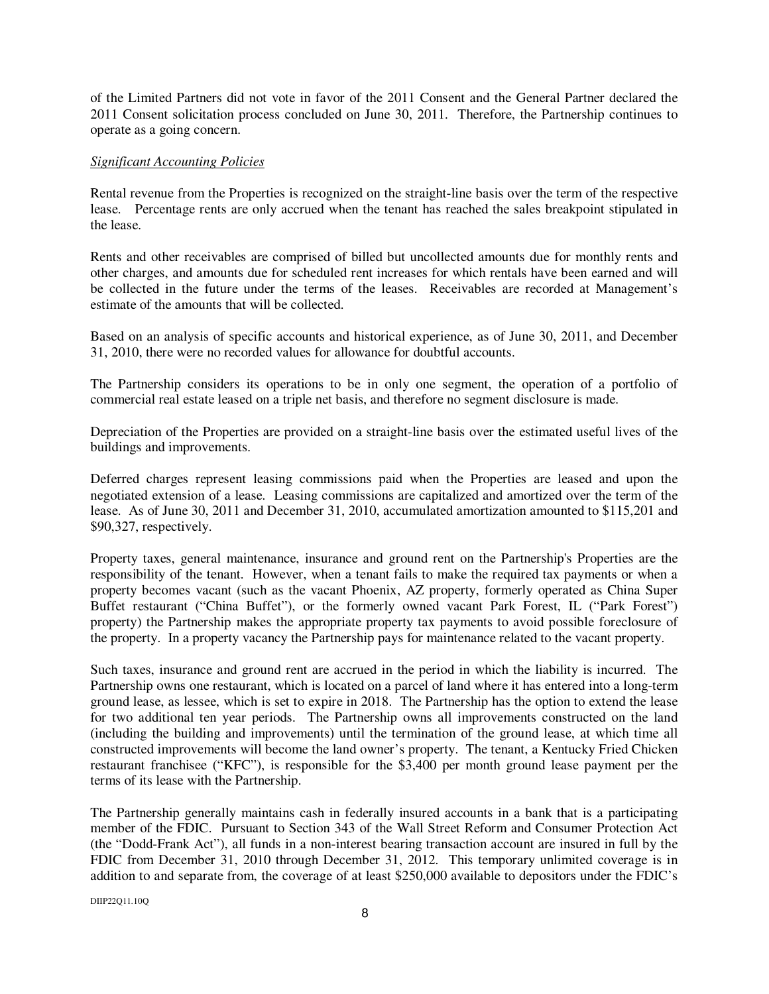of the Limited Partners did not vote in favor of the 2011 Consent and the General Partner declared the 2011 Consent solicitation process concluded on June 30, 2011. Therefore, the Partnership continues to operate as a going concern.

#### *Significant Accounting Policies*

Rental revenue from the Properties is recognized on the straight-line basis over the term of the respective lease. Percentage rents are only accrued when the tenant has reached the sales breakpoint stipulated in the lease.

Rents and other receivables are comprised of billed but uncollected amounts due for monthly rents and other charges, and amounts due for scheduled rent increases for which rentals have been earned and will be collected in the future under the terms of the leases. Receivables are recorded at Management's estimate of the amounts that will be collected.

Based on an analysis of specific accounts and historical experience, as of June 30, 2011, and December 31, 2010, there were no recorded values for allowance for doubtful accounts.

The Partnership considers its operations to be in only one segment, the operation of a portfolio of commercial real estate leased on a triple net basis, and therefore no segment disclosure is made.

Depreciation of the Properties are provided on a straight-line basis over the estimated useful lives of the buildings and improvements.

Deferred charges represent leasing commissions paid when the Properties are leased and upon the negotiated extension of a lease. Leasing commissions are capitalized and amortized over the term of the lease. As of June 30, 2011 and December 31, 2010, accumulated amortization amounted to \$115,201 and \$90,327, respectively.

Property taxes, general maintenance, insurance and ground rent on the Partnership's Properties are the responsibility of the tenant. However, when a tenant fails to make the required tax payments or when a property becomes vacant (such as the vacant Phoenix, AZ property, formerly operated as China Super Buffet restaurant ("China Buffet"), or the formerly owned vacant Park Forest, IL ("Park Forest") property) the Partnership makes the appropriate property tax payments to avoid possible foreclosure of the property. In a property vacancy the Partnership pays for maintenance related to the vacant property.

Such taxes, insurance and ground rent are accrued in the period in which the liability is incurred. The Partnership owns one restaurant, which is located on a parcel of land where it has entered into a long-term ground lease, as lessee, which is set to expire in 2018. The Partnership has the option to extend the lease for two additional ten year periods. The Partnership owns all improvements constructed on the land (including the building and improvements) until the termination of the ground lease, at which time all constructed improvements will become the land owner's property. The tenant, a Kentucky Fried Chicken restaurant franchisee ("KFC"), is responsible for the \$3,400 per month ground lease payment per the terms of its lease with the Partnership.

The Partnership generally maintains cash in federally insured accounts in a bank that is a participating member of the FDIC. Pursuant to Section 343 of the Wall Street Reform and Consumer Protection Act (the "Dodd-Frank Act"), all funds in a non-interest bearing transaction account are insured in full by the FDIC from December 31, 2010 through December 31, 2012. This temporary unlimited coverage is in addition to and separate from, the coverage of at least \$250,000 available to depositors under the FDIC's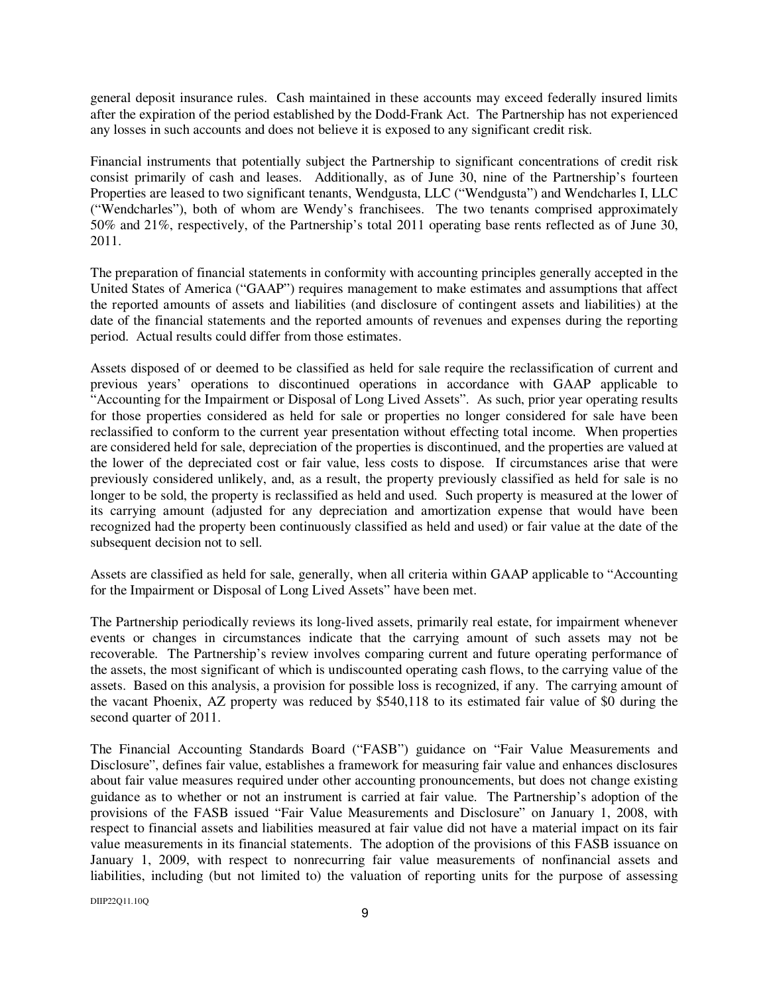general deposit insurance rules. Cash maintained in these accounts may exceed federally insured limits after the expiration of the period established by the Dodd-Frank Act. The Partnership has not experienced any losses in such accounts and does not believe it is exposed to any significant credit risk.

Financial instruments that potentially subject the Partnership to significant concentrations of credit risk consist primarily of cash and leases. Additionally, as of June 30, nine of the Partnership's fourteen Properties are leased to two significant tenants, Wendgusta, LLC ("Wendgusta") and Wendcharles I, LLC ("Wendcharles"), both of whom are Wendy's franchisees. The two tenants comprised approximately 50% and 21%, respectively, of the Partnership's total 2011 operating base rents reflected as of June 30, 2011.

The preparation of financial statements in conformity with accounting principles generally accepted in the United States of America ("GAAP") requires management to make estimates and assumptions that affect the reported amounts of assets and liabilities (and disclosure of contingent assets and liabilities) at the date of the financial statements and the reported amounts of revenues and expenses during the reporting period. Actual results could differ from those estimates.

Assets disposed of or deemed to be classified as held for sale require the reclassification of current and previous years' operations to discontinued operations in accordance with GAAP applicable to "Accounting for the Impairment or Disposal of Long Lived Assets". As such, prior year operating results for those properties considered as held for sale or properties no longer considered for sale have been reclassified to conform to the current year presentation without effecting total income. When properties are considered held for sale, depreciation of the properties is discontinued, and the properties are valued at the lower of the depreciated cost or fair value, less costs to dispose. If circumstances arise that were previously considered unlikely, and, as a result, the property previously classified as held for sale is no longer to be sold, the property is reclassified as held and used. Such property is measured at the lower of its carrying amount (adjusted for any depreciation and amortization expense that would have been recognized had the property been continuously classified as held and used) or fair value at the date of the subsequent decision not to sell.

Assets are classified as held for sale, generally, when all criteria within GAAP applicable to "Accounting for the Impairment or Disposal of Long Lived Assets" have been met.

The Partnership periodically reviews its long-lived assets, primarily real estate, for impairment whenever events or changes in circumstances indicate that the carrying amount of such assets may not be recoverable. The Partnership's review involves comparing current and future operating performance of the assets, the most significant of which is undiscounted operating cash flows, to the carrying value of the assets. Based on this analysis, a provision for possible loss is recognized, if any. The carrying amount of the vacant Phoenix, AZ property was reduced by \$540,118 to its estimated fair value of \$0 during the second quarter of 2011.

The Financial Accounting Standards Board ("FASB") guidance on "Fair Value Measurements and Disclosure", defines fair value, establishes a framework for measuring fair value and enhances disclosures about fair value measures required under other accounting pronouncements, but does not change existing guidance as to whether or not an instrument is carried at fair value. The Partnership's adoption of the provisions of the FASB issued "Fair Value Measurements and Disclosure" on January 1, 2008, with respect to financial assets and liabilities measured at fair value did not have a material impact on its fair value measurements in its financial statements. The adoption of the provisions of this FASB issuance on January 1, 2009, with respect to nonrecurring fair value measurements of nonfinancial assets and liabilities, including (but not limited to) the valuation of reporting units for the purpose of assessing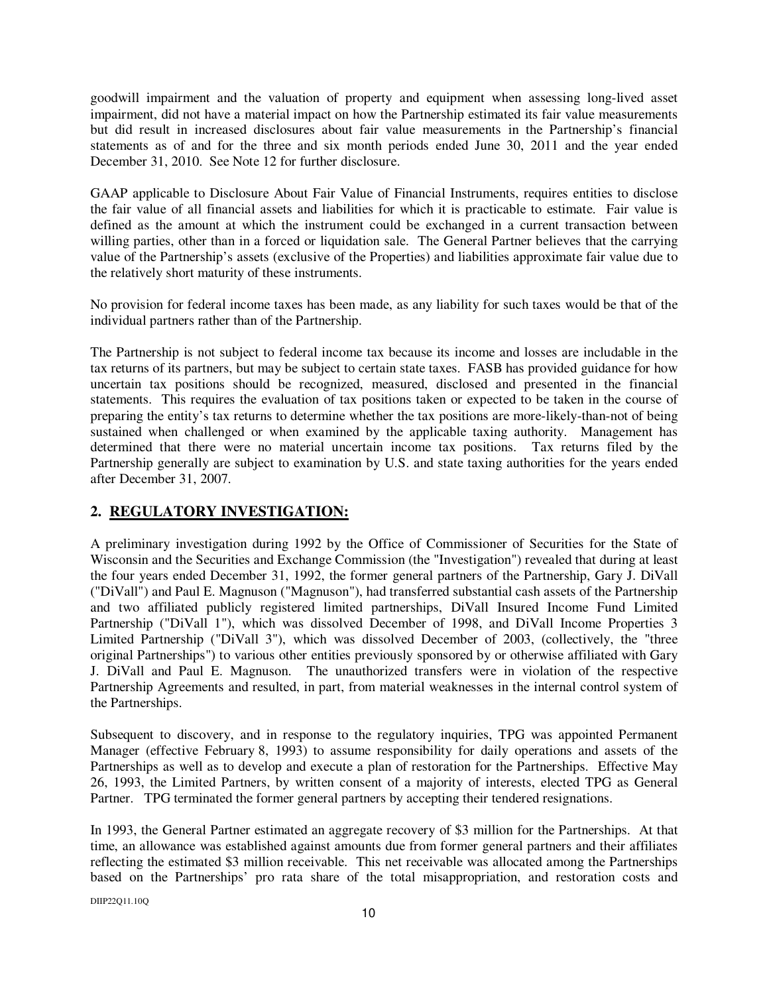goodwill impairment and the valuation of property and equipment when assessing long-lived asset impairment, did not have a material impact on how the Partnership estimated its fair value measurements but did result in increased disclosures about fair value measurements in the Partnership's financial statements as of and for the three and six month periods ended June 30, 2011 and the year ended December 31, 2010. See Note 12 for further disclosure.

GAAP applicable to Disclosure About Fair Value of Financial Instruments, requires entities to disclose the fair value of all financial assets and liabilities for which it is practicable to estimate. Fair value is defined as the amount at which the instrument could be exchanged in a current transaction between willing parties, other than in a forced or liquidation sale. The General Partner believes that the carrying value of the Partnership's assets (exclusive of the Properties) and liabilities approximate fair value due to the relatively short maturity of these instruments.

No provision for federal income taxes has been made, as any liability for such taxes would be that of the individual partners rather than of the Partnership.

The Partnership is not subject to federal income tax because its income and losses are includable in the tax returns of its partners, but may be subject to certain state taxes. FASB has provided guidance for how uncertain tax positions should be recognized, measured, disclosed and presented in the financial statements. This requires the evaluation of tax positions taken or expected to be taken in the course of preparing the entity's tax returns to determine whether the tax positions are more-likely-than-not of being sustained when challenged or when examined by the applicable taxing authority. Management has determined that there were no material uncertain income tax positions. Tax returns filed by the Partnership generally are subject to examination by U.S. and state taxing authorities for the years ended after December 31, 2007.

# **2. REGULATORY INVESTIGATION:**

A preliminary investigation during 1992 by the Office of Commissioner of Securities for the State of Wisconsin and the Securities and Exchange Commission (the "Investigation") revealed that during at least the four years ended December 31, 1992, the former general partners of the Partnership, Gary J. DiVall ("DiVall") and Paul E. Magnuson ("Magnuson"), had transferred substantial cash assets of the Partnership and two affiliated publicly registered limited partnerships, DiVall Insured Income Fund Limited Partnership ("DiVall 1"), which was dissolved December of 1998, and DiVall Income Properties 3 Limited Partnership ("DiVall 3"), which was dissolved December of 2003, (collectively, the "three original Partnerships") to various other entities previously sponsored by or otherwise affiliated with Gary J. DiVall and Paul E. Magnuson. The unauthorized transfers were in violation of the respective Partnership Agreements and resulted, in part, from material weaknesses in the internal control system of the Partnerships.

Subsequent to discovery, and in response to the regulatory inquiries, TPG was appointed Permanent Manager (effective February 8, 1993) to assume responsibility for daily operations and assets of the Partnerships as well as to develop and execute a plan of restoration for the Partnerships. Effective May 26, 1993, the Limited Partners, by written consent of a majority of interests, elected TPG as General Partner. TPG terminated the former general partners by accepting their tendered resignations.

In 1993, the General Partner estimated an aggregate recovery of \$3 million for the Partnerships. At that time, an allowance was established against amounts due from former general partners and their affiliates reflecting the estimated \$3 million receivable. This net receivable was allocated among the Partnerships based on the Partnerships' pro rata share of the total misappropriation, and restoration costs and

DIIP22Q11.10Q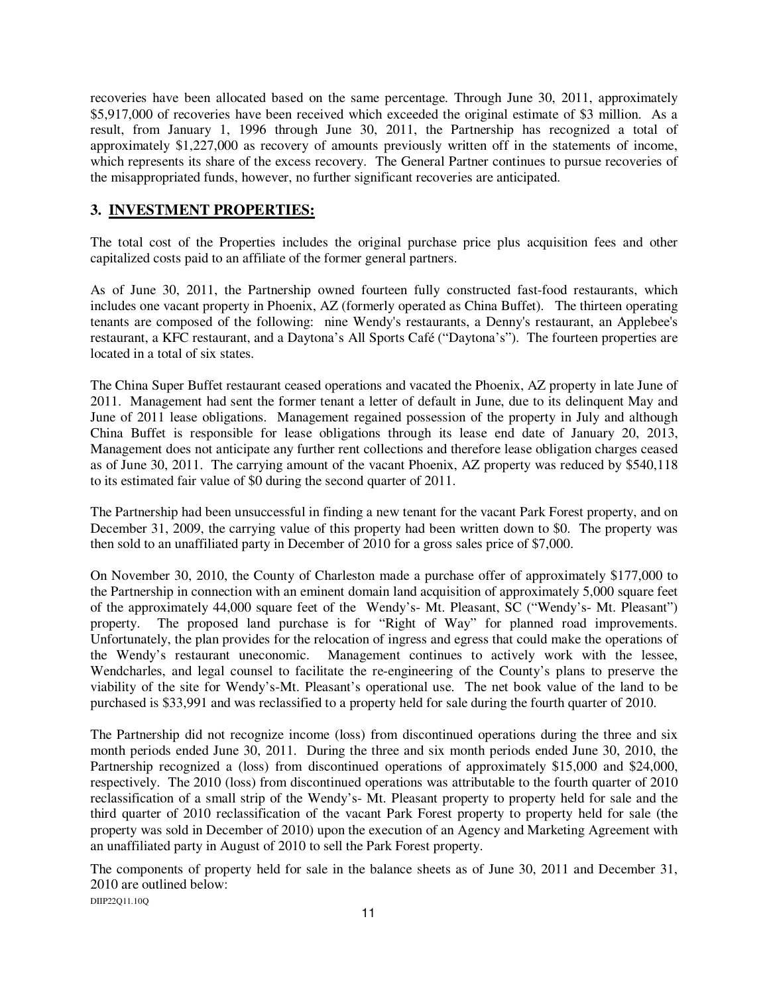recoveries have been allocated based on the same percentage. Through June 30, 2011, approximately \$5,917,000 of recoveries have been received which exceeded the original estimate of \$3 million. As a result, from January 1, 1996 through June 30, 2011, the Partnership has recognized a total of approximately \$1,227,000 as recovery of amounts previously written off in the statements of income, which represents its share of the excess recovery. The General Partner continues to pursue recoveries of the misappropriated funds, however, no further significant recoveries are anticipated.

# **3. INVESTMENT PROPERTIES:**

The total cost of the Properties includes the original purchase price plus acquisition fees and other capitalized costs paid to an affiliate of the former general partners.

As of June 30, 2011, the Partnership owned fourteen fully constructed fast-food restaurants, which includes one vacant property in Phoenix, AZ (formerly operated as China Buffet). The thirteen operating tenants are composed of the following: nine Wendy's restaurants, a Denny's restaurant, an Applebee's restaurant, a KFC restaurant, and a Daytona's All Sports Café ("Daytona's"). The fourteen properties are located in a total of six states.

The China Super Buffet restaurant ceased operations and vacated the Phoenix, AZ property in late June of 2011. Management had sent the former tenant a letter of default in June, due to its delinquent May and June of 2011 lease obligations. Management regained possession of the property in July and although China Buffet is responsible for lease obligations through its lease end date of January 20, 2013, Management does not anticipate any further rent collections and therefore lease obligation charges ceased as of June 30, 2011. The carrying amount of the vacant Phoenix, AZ property was reduced by \$540,118 to its estimated fair value of \$0 during the second quarter of 2011.

The Partnership had been unsuccessful in finding a new tenant for the vacant Park Forest property, and on December 31, 2009, the carrying value of this property had been written down to \$0. The property was then sold to an unaffiliated party in December of 2010 for a gross sales price of \$7,000.

On November 30, 2010, the County of Charleston made a purchase offer of approximately \$177,000 to the Partnership in connection with an eminent domain land acquisition of approximately 5,000 square feet of the approximately 44,000 square feet of the Wendy's- Mt. Pleasant, SC ("Wendy's- Mt. Pleasant") property. The proposed land purchase is for "Right of Way" for planned road improvements. Unfortunately, the plan provides for the relocation of ingress and egress that could make the operations of the Wendy's restaurant uneconomic. Management continues to actively work with the lessee, Wendcharles, and legal counsel to facilitate the re-engineering of the County's plans to preserve the viability of the site for Wendy's-Mt. Pleasant's operational use. The net book value of the land to be purchased is \$33,991 and was reclassified to a property held for sale during the fourth quarter of 2010.

The Partnership did not recognize income (loss) from discontinued operations during the three and six month periods ended June 30, 2011. During the three and six month periods ended June 30, 2010, the Partnership recognized a (loss) from discontinued operations of approximately \$15,000 and \$24,000, respectively. The 2010 (loss) from discontinued operations was attributable to the fourth quarter of 2010 reclassification of a small strip of the Wendy's- Mt. Pleasant property to property held for sale and the third quarter of 2010 reclassification of the vacant Park Forest property to property held for sale (the property was sold in December of 2010) upon the execution of an Agency and Marketing Agreement with an unaffiliated party in August of 2010 to sell the Park Forest property.

DIIP22Q11.10Q The components of property held for sale in the balance sheets as of June 30, 2011 and December 31, 2010 are outlined below: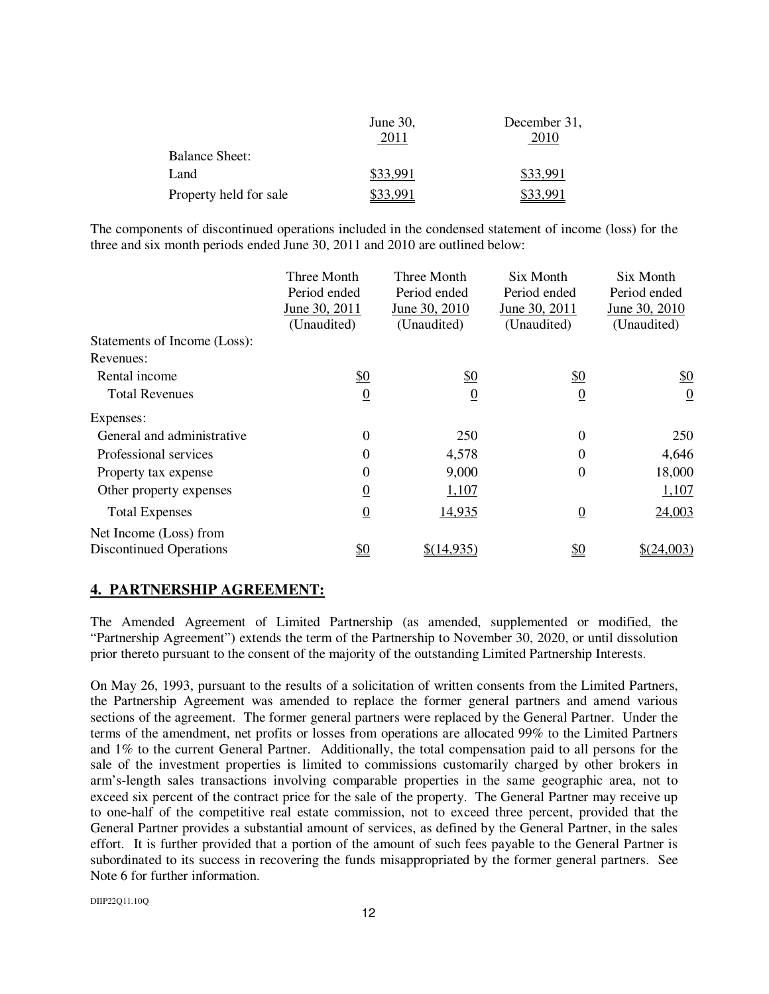|                        | June 30, | December 31, |
|------------------------|----------|--------------|
|                        | 2011     | 2010         |
| <b>Balance Sheet:</b>  |          |              |
| Land                   | \$33.991 | \$33.991     |
| Property held for sale |          | 991          |

The components of discontinued operations included in the condensed statement of income (loss) for the three and six month periods ended June 30, 2011 and 2010 are outlined below:

|                                | Three Month                   | Three Month    | Six Month      | Six Month      |
|--------------------------------|-------------------------------|----------------|----------------|----------------|
|                                | Period ended                  | Period ended   | Period ended   | Period ended   |
|                                | June 30, 2011                 | June 30, 2010  | June 30, 2011  | June 30, 2010  |
|                                | (Unaudited)                   | (Unaudited)    | (Unaudited)    | (Unaudited)    |
| Statements of Income (Loss):   |                               |                |                |                |
| Revenues:                      |                               |                |                |                |
| Rental income                  | $\frac{$0}{}$                 | <u>\$0</u>     | <u>\$0</u>     | <u>\$0</u>     |
| <b>Total Revenues</b>          | $\overline{0}$                | $\overline{0}$ | $\overline{0}$ | $\overline{0}$ |
| Expenses:                      |                               |                |                |                |
| General and administrative     | $\overline{0}$                | 250            | $\overline{0}$ | 250            |
| Professional services          | 0                             | 4,578          | $\Omega$       | 4,646          |
| Property tax expense           | 0                             | 9,000          | $\Omega$       | 18,000         |
| Other property expenses        | $\overline{0}$                | 1,107          |                | 1,107          |
| <b>Total Expenses</b>          | $\overline{0}$                | 14,935         | $\overline{0}$ | 24,003         |
| Net Income (Loss) from         |                               |                |                |                |
| <b>Discontinued Operations</b> | $\underline{\underline{\$0}}$ | \$(14,935)     | <u>\$0</u>     | \$(24,003)     |

# **4. PARTNERSHIP AGREEMENT:**

The Amended Agreement of Limited Partnership (as amended, supplemented or modified, the "Partnership Agreement") extends the term of the Partnership to November 30, 2020, or until dissolution prior thereto pursuant to the consent of the majority of the outstanding Limited Partnership Interests.

On May 26, 1993, pursuant to the results of a solicitation of written consents from the Limited Partners, the Partnership Agreement was amended to replace the former general partners and amend various sections of the agreement. The former general partners were replaced by the General Partner. Under the terms of the amendment, net profits or losses from operations are allocated 99% to the Limited Partners and 1% to the current General Partner. Additionally, the total compensation paid to all persons for the sale of the investment properties is limited to commissions customarily charged by other brokers in arm's-length sales transactions involving comparable properties in the same geographic area, not to exceed six percent of the contract price for the sale of the property. The General Partner may receive up to one-half of the competitive real estate commission, not to exceed three percent, provided that the General Partner provides a substantial amount of services, as defined by the General Partner, in the sales effort. It is further provided that a portion of the amount of such fees payable to the General Partner is subordinated to its success in recovering the funds misappropriated by the former general partners. See Note 6 for further information.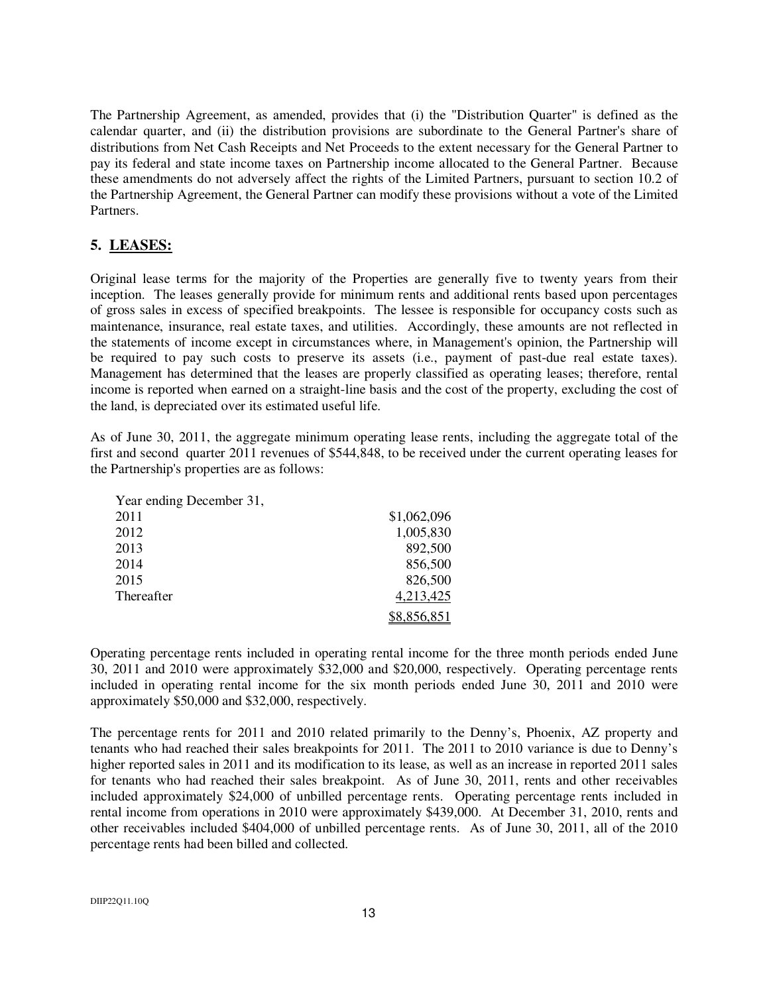The Partnership Agreement, as amended, provides that (i) the "Distribution Quarter" is defined as the calendar quarter, and (ii) the distribution provisions are subordinate to the General Partner's share of distributions from Net Cash Receipts and Net Proceeds to the extent necessary for the General Partner to pay its federal and state income taxes on Partnership income allocated to the General Partner. Because these amendments do not adversely affect the rights of the Limited Partners, pursuant to section 10.2 of the Partnership Agreement, the General Partner can modify these provisions without a vote of the Limited Partners.

# **5. LEASES:**

Original lease terms for the majority of the Properties are generally five to twenty years from their inception. The leases generally provide for minimum rents and additional rents based upon percentages of gross sales in excess of specified breakpoints. The lessee is responsible for occupancy costs such as maintenance, insurance, real estate taxes, and utilities. Accordingly, these amounts are not reflected in the statements of income except in circumstances where, in Management's opinion, the Partnership will be required to pay such costs to preserve its assets (i.e., payment of past-due real estate taxes). Management has determined that the leases are properly classified as operating leases; therefore, rental income is reported when earned on a straight-line basis and the cost of the property, excluding the cost of the land, is depreciated over its estimated useful life.

As of June 30, 2011, the aggregate minimum operating lease rents, including the aggregate total of the first and second quarter 2011 revenues of \$544,848, to be received under the current operating leases for the Partnership's properties are as follows:

| Year ending December 31, |             |
|--------------------------|-------------|
| 2011                     | \$1,062,096 |
| 2012                     | 1,005,830   |
| 2013                     | 892,500     |
| 2014                     | 856,500     |
| 2015                     | 826,500     |
| Thereafter               | 4,213,425   |
|                          | \$8,856,851 |

Operating percentage rents included in operating rental income for the three month periods ended June 30, 2011 and 2010 were approximately \$32,000 and \$20,000, respectively. Operating percentage rents included in operating rental income for the six month periods ended June 30, 2011 and 2010 were approximately \$50,000 and \$32,000, respectively.

The percentage rents for 2011 and 2010 related primarily to the Denny's, Phoenix, AZ property and tenants who had reached their sales breakpoints for 2011. The 2011 to 2010 variance is due to Denny's higher reported sales in 2011 and its modification to its lease, as well as an increase in reported 2011 sales for tenants who had reached their sales breakpoint. As of June 30, 2011, rents and other receivables included approximately \$24,000 of unbilled percentage rents. Operating percentage rents included in rental income from operations in 2010 were approximately \$439,000. At December 31, 2010, rents and other receivables included \$404,000 of unbilled percentage rents. As of June 30, 2011, all of the 2010 percentage rents had been billed and collected.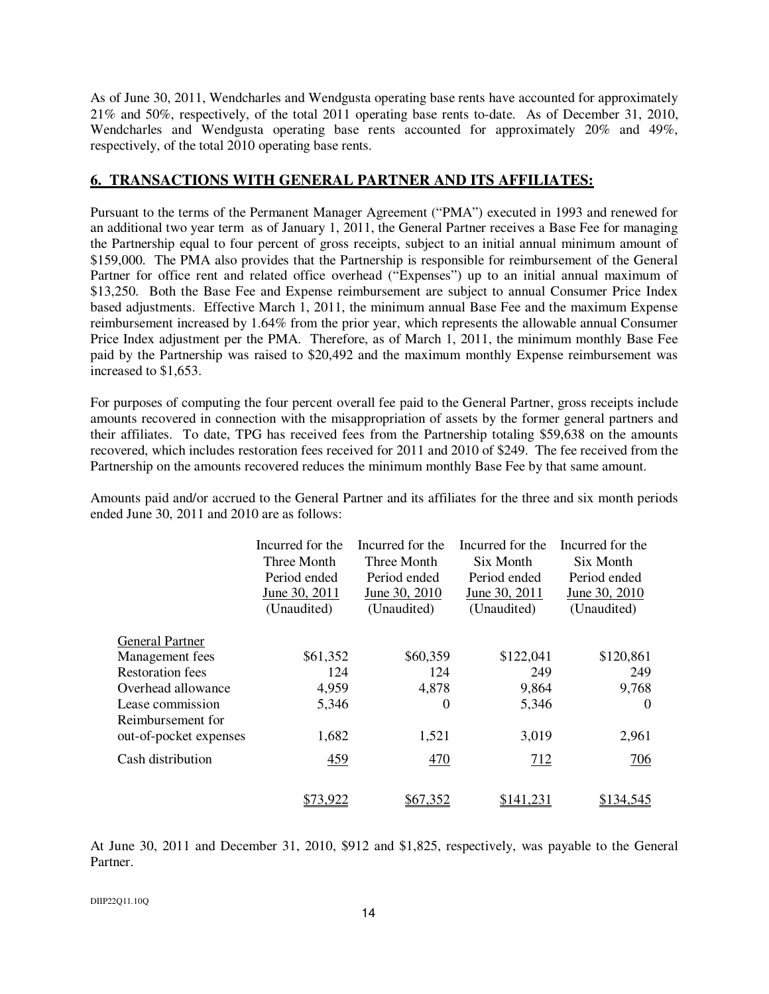As of June 30, 2011, Wendcharles and Wendgusta operating base rents have accounted for approximately 21% and 50%, respectively, of the total 2011 operating base rents to-date. As of December 31, 2010, Wendcharles and Wendgusta operating base rents accounted for approximately 20% and 49%, respectively, of the total 2010 operating base rents.

# **6. TRANSACTIONS WITH GENERAL PARTNER AND ITS AFFILIATES:**

Pursuant to the terms of the Permanent Manager Agreement ("PMA") executed in 1993 and renewed for an additional two year term as of January 1, 2011, the General Partner receives a Base Fee for managing the Partnership equal to four percent of gross receipts, subject to an initial annual minimum amount of \$159,000. The PMA also provides that the Partnership is responsible for reimbursement of the General Partner for office rent and related office overhead ("Expenses") up to an initial annual maximum of \$13,250. Both the Base Fee and Expense reimbursement are subject to annual Consumer Price Index based adjustments. Effective March 1, 2011, the minimum annual Base Fee and the maximum Expense reimbursement increased by 1.64% from the prior year, which represents the allowable annual Consumer Price Index adjustment per the PMA. Therefore, as of March 1, 2011, the minimum monthly Base Fee paid by the Partnership was raised to \$20,492 and the maximum monthly Expense reimbursement was increased to \$1,653.

For purposes of computing the four percent overall fee paid to the General Partner, gross receipts include amounts recovered in connection with the misappropriation of assets by the former general partners and their affiliates. To date, TPG has received fees from the Partnership totaling \$59,638 on the amounts recovered, which includes restoration fees received for 2011 and 2010 of \$249. The fee received from the Partnership on the amounts recovered reduces the minimum monthly Base Fee by that same amount.

Amounts paid and/or accrued to the General Partner and its affiliates for the three and six month periods ended June 30, 2011 and 2010 are as follows:

|                         | Incurred for the<br>Three Month<br>Period ended<br>June 30, 2011<br>(Unaudited) | Incurred for the<br>Three Month<br>Period ended<br>June 30, 2010<br>(Unaudited) | Incurred for the<br>Six Month<br>Period ended<br>June 30, 2011<br>(Unaudited) | Incurred for the<br>Six Month<br>Period ended<br>June 30, 2010<br>(Unaudited) |
|-------------------------|---------------------------------------------------------------------------------|---------------------------------------------------------------------------------|-------------------------------------------------------------------------------|-------------------------------------------------------------------------------|
| <b>General Partner</b>  |                                                                                 |                                                                                 |                                                                               |                                                                               |
| Management fees         | \$61,352                                                                        | \$60,359                                                                        | \$122,041                                                                     | \$120,861                                                                     |
| <b>Restoration</b> fees | 124                                                                             | 124                                                                             | 249                                                                           | 249                                                                           |
| Overhead allowance      | 4,959                                                                           | 4,878                                                                           | 9,864                                                                         | 9,768                                                                         |
| Lease commission        | 5,346                                                                           | $\theta$                                                                        | 5,346                                                                         | $\Omega$                                                                      |
| Reimbursement for       |                                                                                 |                                                                                 |                                                                               |                                                                               |
| out-of-pocket expenses  | 1,682                                                                           | 1,521                                                                           | 3,019                                                                         | 2,961                                                                         |
| Cash distribution       | 459                                                                             | 470                                                                             | 712                                                                           | 706                                                                           |
|                         | 13.922                                                                          | <u>\$67,352</u>                                                                 | \$141.231                                                                     | \$134.545                                                                     |

At June 30, 2011 and December 31, 2010, \$912 and \$1,825, respectively, was payable to the General Partner.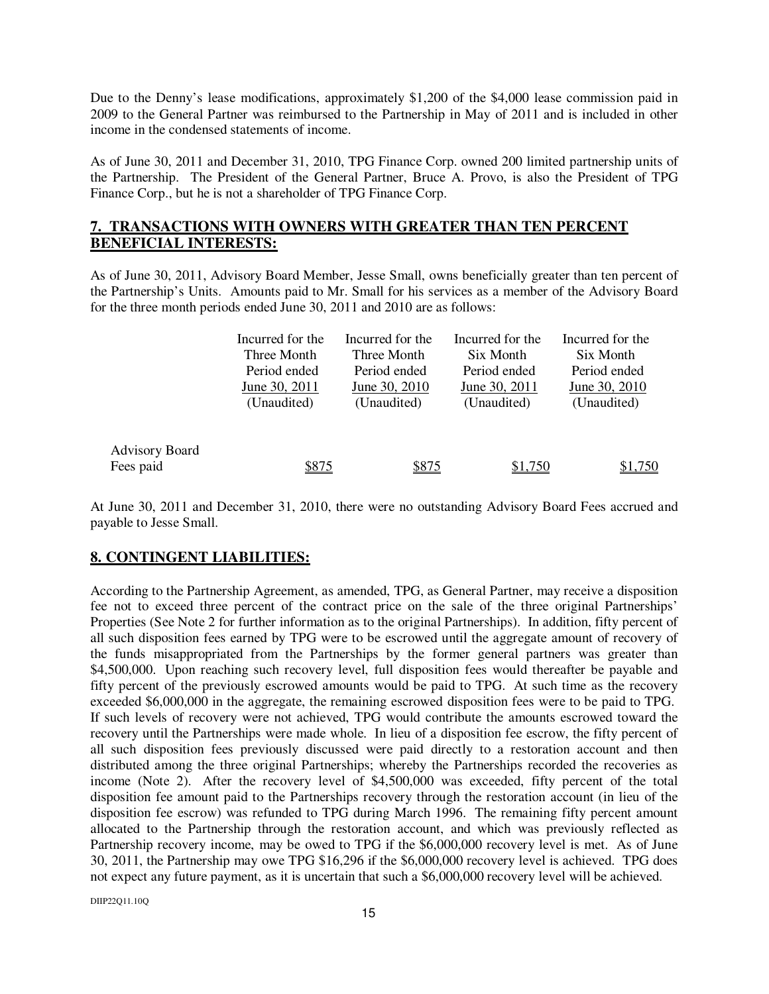Due to the Denny's lease modifications, approximately \$1,200 of the \$4,000 lease commission paid in 2009 to the General Partner was reimbursed to the Partnership in May of 2011 and is included in other income in the condensed statements of income.

As of June 30, 2011 and December 31, 2010, TPG Finance Corp. owned 200 limited partnership units of the Partnership. The President of the General Partner, Bruce A. Provo, is also the President of TPG Finance Corp., but he is not a shareholder of TPG Finance Corp.

# **7. TRANSACTIONS WITH OWNERS WITH GREATER THAN TEN PERCENT BENEFICIAL INTERESTS:**

As of June 30, 2011, Advisory Board Member, Jesse Small, owns beneficially greater than ten percent of the Partnership's Units. Amounts paid to Mr. Small for his services as a member of the Advisory Board for the three month periods ended June 30, 2011 and 2010 are as follows:

|                       | Incurred for the | Incurred for the | Incurred for the | Incurred for the |
|-----------------------|------------------|------------------|------------------|------------------|
|                       | Three Month      | Three Month      | Six Month        | Six Month        |
|                       | Period ended     | Period ended     | Period ended     | Period ended     |
|                       | June 30, 2011    | June 30, 2010    | June 30, 2011    | June 30, 2010    |
|                       | (Unaudited)      | (Unaudited)      | (Unaudited)      | (Unaudited)      |
|                       |                  |                  |                  |                  |
| <b>Advisory Board</b> |                  |                  |                  |                  |
| Fees paid             | \$875            | \$875            | \$1,750          | \$1,750          |

At June 30, 2011 and December 31, 2010, there were no outstanding Advisory Board Fees accrued and payable to Jesse Small.

# **8. CONTINGENT LIABILITIES:**

According to the Partnership Agreement, as amended, TPG, as General Partner, may receive a disposition fee not to exceed three percent of the contract price on the sale of the three original Partnerships' Properties (See Note 2 for further information as to the original Partnerships). In addition, fifty percent of all such disposition fees earned by TPG were to be escrowed until the aggregate amount of recovery of the funds misappropriated from the Partnerships by the former general partners was greater than \$4,500,000. Upon reaching such recovery level, full disposition fees would thereafter be payable and fifty percent of the previously escrowed amounts would be paid to TPG. At such time as the recovery exceeded \$6,000,000 in the aggregate, the remaining escrowed disposition fees were to be paid to TPG. If such levels of recovery were not achieved, TPG would contribute the amounts escrowed toward the recovery until the Partnerships were made whole. In lieu of a disposition fee escrow, the fifty percent of all such disposition fees previously discussed were paid directly to a restoration account and then distributed among the three original Partnerships; whereby the Partnerships recorded the recoveries as income (Note 2). After the recovery level of \$4,500,000 was exceeded, fifty percent of the total disposition fee amount paid to the Partnerships recovery through the restoration account (in lieu of the disposition fee escrow) was refunded to TPG during March 1996. The remaining fifty percent amount allocated to the Partnership through the restoration account, and which was previously reflected as Partnership recovery income, may be owed to TPG if the \$6,000,000 recovery level is met. As of June 30, 2011, the Partnership may owe TPG \$16,296 if the \$6,000,000 recovery level is achieved. TPG does not expect any future payment, as it is uncertain that such a \$6,000,000 recovery level will be achieved.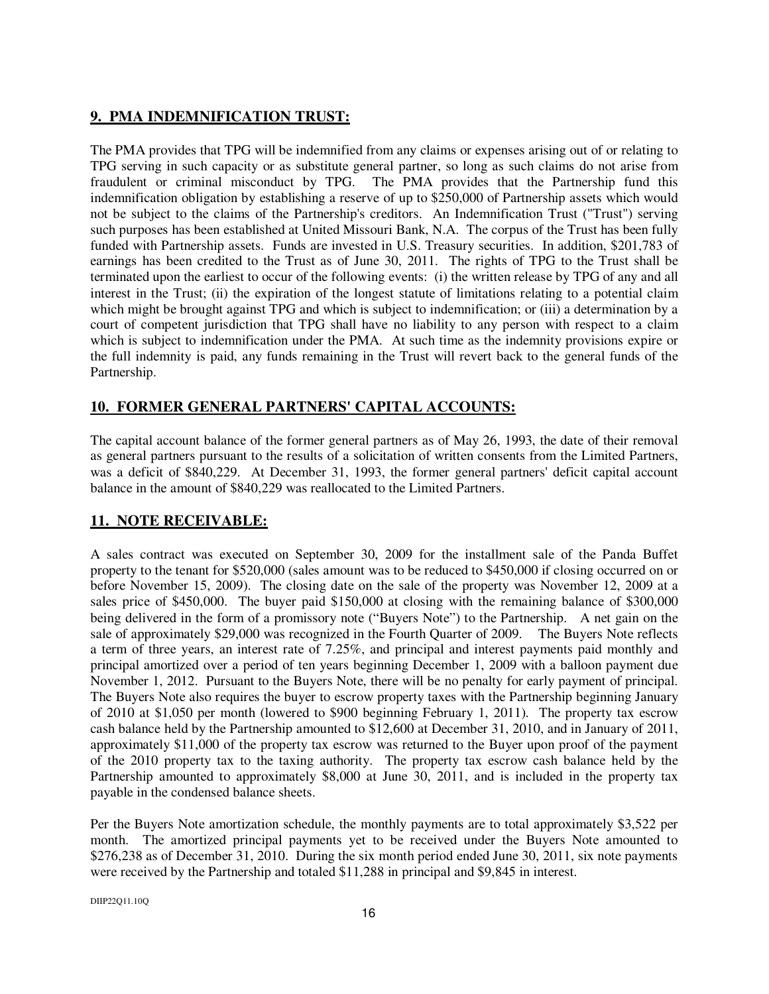# **9. PMA INDEMNIFICATION TRUST:**

The PMA provides that TPG will be indemnified from any claims or expenses arising out of or relating to TPG serving in such capacity or as substitute general partner, so long as such claims do not arise from fraudulent or criminal misconduct by TPG. The PMA provides that the Partnership fund this indemnification obligation by establishing a reserve of up to \$250,000 of Partnership assets which would not be subject to the claims of the Partnership's creditors. An Indemnification Trust ("Trust") serving such purposes has been established at United Missouri Bank, N.A. The corpus of the Trust has been fully funded with Partnership assets. Funds are invested in U.S. Treasury securities. In addition, \$201,783 of earnings has been credited to the Trust as of June 30, 2011. The rights of TPG to the Trust shall be terminated upon the earliest to occur of the following events: (i) the written release by TPG of any and all interest in the Trust; (ii) the expiration of the longest statute of limitations relating to a potential claim which might be brought against TPG and which is subject to indemnification; or (iii) a determination by a court of competent jurisdiction that TPG shall have no liability to any person with respect to a claim which is subject to indemnification under the PMA. At such time as the indemnity provisions expire or the full indemnity is paid, any funds remaining in the Trust will revert back to the general funds of the Partnership.

# **10. FORMER GENERAL PARTNERS' CAPITAL ACCOUNTS:**

The capital account balance of the former general partners as of May 26, 1993, the date of their removal as general partners pursuant to the results of a solicitation of written consents from the Limited Partners, was a deficit of \$840,229. At December 31, 1993, the former general partners' deficit capital account balance in the amount of \$840,229 was reallocated to the Limited Partners.

# **11. NOTE RECEIVABLE:**

A sales contract was executed on September 30, 2009 for the installment sale of the Panda Buffet property to the tenant for \$520,000 (sales amount was to be reduced to \$450,000 if closing occurred on or before November 15, 2009). The closing date on the sale of the property was November 12, 2009 at a sales price of \$450,000. The buyer paid \$150,000 at closing with the remaining balance of \$300,000 being delivered in the form of a promissory note ("Buyers Note") to the Partnership. A net gain on the sale of approximately \$29,000 was recognized in the Fourth Quarter of 2009. The Buyers Note reflects a term of three years, an interest rate of 7.25%, and principal and interest payments paid monthly and principal amortized over a period of ten years beginning December 1, 2009 with a balloon payment due November 1, 2012. Pursuant to the Buyers Note, there will be no penalty for early payment of principal. The Buyers Note also requires the buyer to escrow property taxes with the Partnership beginning January of 2010 at \$1,050 per month (lowered to \$900 beginning February 1, 2011). The property tax escrow cash balance held by the Partnership amounted to \$12,600 at December 31, 2010, and in January of 2011, approximately \$11,000 of the property tax escrow was returned to the Buyer upon proof of the payment of the 2010 property tax to the taxing authority. The property tax escrow cash balance held by the Partnership amounted to approximately \$8,000 at June 30, 2011, and is included in the property tax payable in the condensed balance sheets.

Per the Buyers Note amortization schedule, the monthly payments are to total approximately \$3,522 per month. The amortized principal payments yet to be received under the Buyers Note amounted to \$276,238 as of December 31, 2010. During the six month period ended June 30, 2011, six note payments were received by the Partnership and totaled \$11,288 in principal and \$9,845 in interest.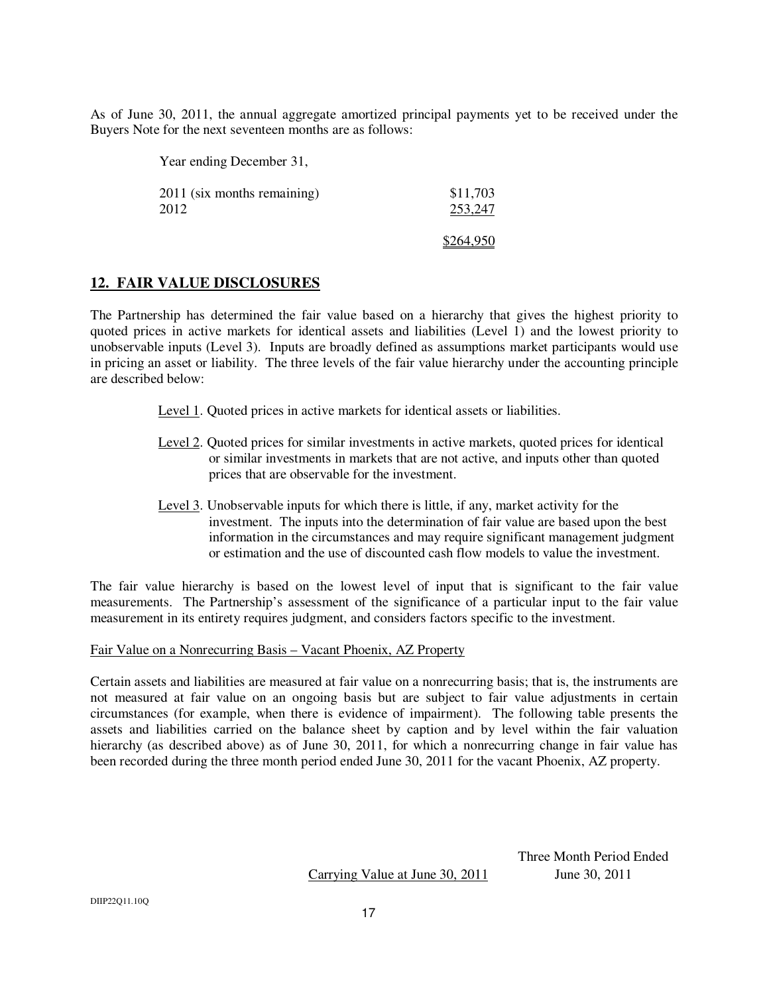As of June 30, 2011, the annual aggregate amortized principal payments yet to be received under the Buyers Note for the next seventeen months are as follows:

Year ending December 31,

2011 (six months remaining) 2012 \$11,703 253,247

#### \$264,950

# **12. FAIR VALUE DISCLOSURES**

The Partnership has determined the fair value based on a hierarchy that gives the highest priority to quoted prices in active markets for identical assets and liabilities (Level 1) and the lowest priority to unobservable inputs (Level 3). Inputs are broadly defined as assumptions market participants would use in pricing an asset or liability. The three levels of the fair value hierarchy under the accounting principle are described below:

- Level 1. Quoted prices in active markets for identical assets or liabilities.
- Level 2. Quoted prices for similar investments in active markets, quoted prices for identical or similar investments in markets that are not active, and inputs other than quoted prices that are observable for the investment.
- Level 3. Unobservable inputs for which there is little, if any, market activity for the investment. The inputs into the determination of fair value are based upon the best information in the circumstances and may require significant management judgment or estimation and the use of discounted cash flow models to value the investment.

The fair value hierarchy is based on the lowest level of input that is significant to the fair value measurements. The Partnership's assessment of the significance of a particular input to the fair value measurement in its entirety requires judgment, and considers factors specific to the investment.

#### Fair Value on a Nonrecurring Basis – Vacant Phoenix, AZ Property

Certain assets and liabilities are measured at fair value on a nonrecurring basis; that is, the instruments are not measured at fair value on an ongoing basis but are subject to fair value adjustments in certain circumstances (for example, when there is evidence of impairment). The following table presents the assets and liabilities carried on the balance sheet by caption and by level within the fair valuation hierarchy (as described above) as of June 30, 2011, for which a nonrecurring change in fair value has been recorded during the three month period ended June 30, 2011 for the vacant Phoenix, AZ property.

Carrying Value at June 30, 2011 June 30, 2011

Three Month Period Ended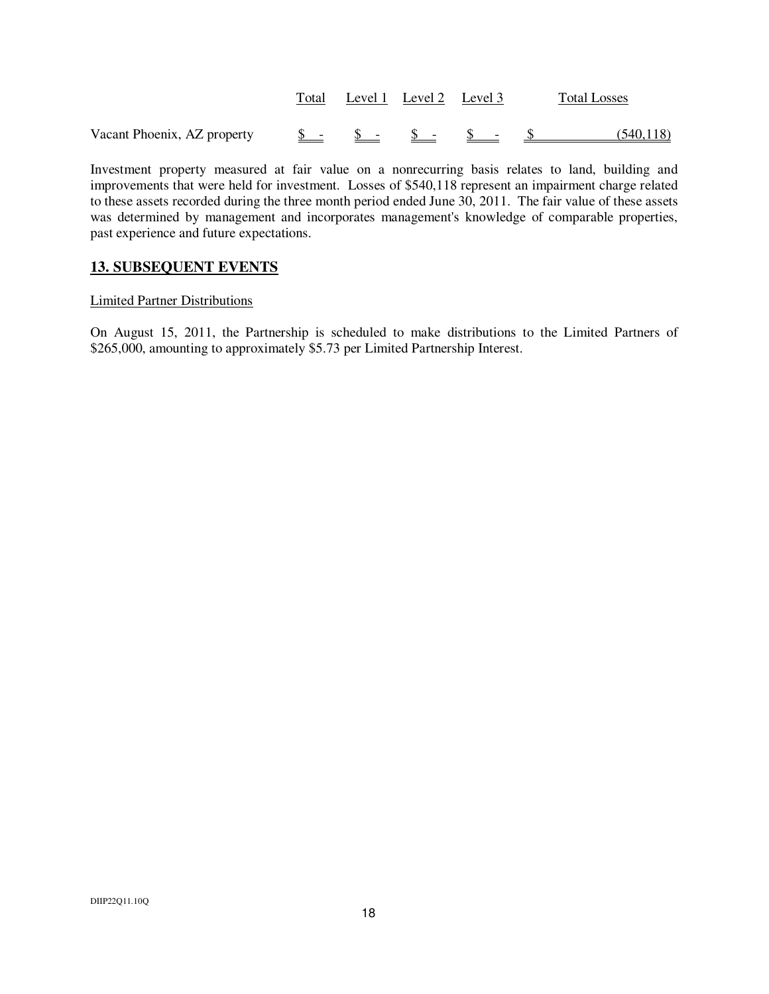|                                                                                                                                                    |  | Total Level 1 Level 2 Level 3 |  | <b>Total Losses</b> |
|----------------------------------------------------------------------------------------------------------------------------------------------------|--|-------------------------------|--|---------------------|
| Vacant Phoenix, AZ property $\underline{\$}$ $\underline{\$}$ $\underline{\$}$ $\underline{\$}$ $\underline{\$}$ $\underline{\$}$ $\underline{\$}$ |  |                               |  | (540, 118)          |

Investment property measured at fair value on a nonrecurring basis relates to land, building and improvements that were held for investment. Losses of \$540,118 represent an impairment charge related to these assets recorded during the three month period ended June 30, 2011. The fair value of these assets was determined by management and incorporates management's knowledge of comparable properties, past experience and future expectations.

# **13. SUBSEQUENT EVENTS**

#### Limited Partner Distributions

On August 15, 2011, the Partnership is scheduled to make distributions to the Limited Partners of \$265,000, amounting to approximately \$5.73 per Limited Partnership Interest.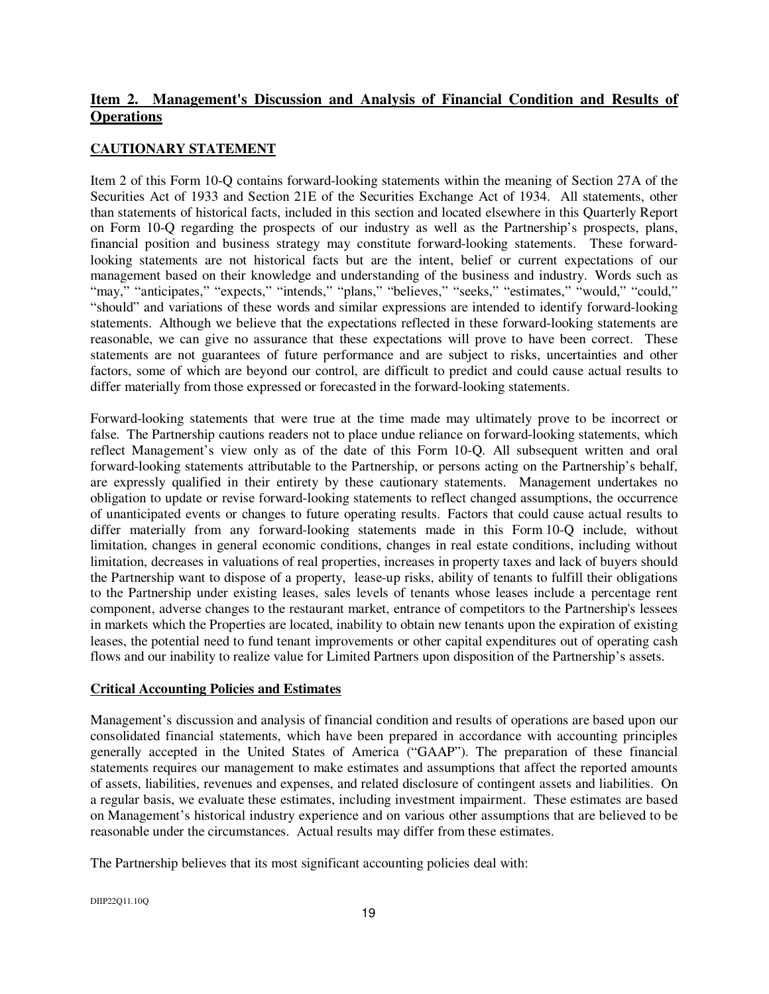# **Item 2. Management's Discussion and Analysis of Financial Condition and Results of Operations**

# **CAUTIONARY STATEMENT**

Item 2 of this Form 10-Q contains forward-looking statements within the meaning of Section 27A of the Securities Act of 1933 and Section 21E of the Securities Exchange Act of 1934. All statements, other than statements of historical facts, included in this section and located elsewhere in this Quarterly Report on Form 10-Q regarding the prospects of our industry as well as the Partnership's prospects, plans, financial position and business strategy may constitute forward-looking statements. These forwardlooking statements are not historical facts but are the intent, belief or current expectations of our management based on their knowledge and understanding of the business and industry. Words such as "may," "anticipates," "expects," "intends," "plans," "believes," "seeks," "estimates," "would," "could," "should" and variations of these words and similar expressions are intended to identify forward-looking statements. Although we believe that the expectations reflected in these forward-looking statements are reasonable, we can give no assurance that these expectations will prove to have been correct. These statements are not guarantees of future performance and are subject to risks, uncertainties and other factors, some of which are beyond our control, are difficult to predict and could cause actual results to differ materially from those expressed or forecasted in the forward-looking statements.

Forward-looking statements that were true at the time made may ultimately prove to be incorrect or false. The Partnership cautions readers not to place undue reliance on forward-looking statements, which reflect Management's view only as of the date of this Form 10-Q. All subsequent written and oral forward-looking statements attributable to the Partnership, or persons acting on the Partnership's behalf, are expressly qualified in their entirety by these cautionary statements. Management undertakes no obligation to update or revise forward-looking statements to reflect changed assumptions, the occurrence of unanticipated events or changes to future operating results. Factors that could cause actual results to differ materially from any forward-looking statements made in this Form 10-Q include, without limitation, changes in general economic conditions, changes in real estate conditions, including without limitation, decreases in valuations of real properties, increases in property taxes and lack of buyers should the Partnership want to dispose of a property, lease-up risks, ability of tenants to fulfill their obligations to the Partnership under existing leases, sales levels of tenants whose leases include a percentage rent component, adverse changes to the restaurant market, entrance of competitors to the Partnership's lessees in markets which the Properties are located, inability to obtain new tenants upon the expiration of existing leases, the potential need to fund tenant improvements or other capital expenditures out of operating cash flows and our inability to realize value for Limited Partners upon disposition of the Partnership's assets.

#### **Critical Accounting Policies and Estimates**

Management's discussion and analysis of financial condition and results of operations are based upon our consolidated financial statements, which have been prepared in accordance with accounting principles generally accepted in the United States of America ("GAAP"). The preparation of these financial statements requires our management to make estimates and assumptions that affect the reported amounts of assets, liabilities, revenues and expenses, and related disclosure of contingent assets and liabilities. On a regular basis, we evaluate these estimates, including investment impairment. These estimates are based on Management's historical industry experience and on various other assumptions that are believed to be reasonable under the circumstances. Actual results may differ from these estimates.

The Partnership believes that its most significant accounting policies deal with: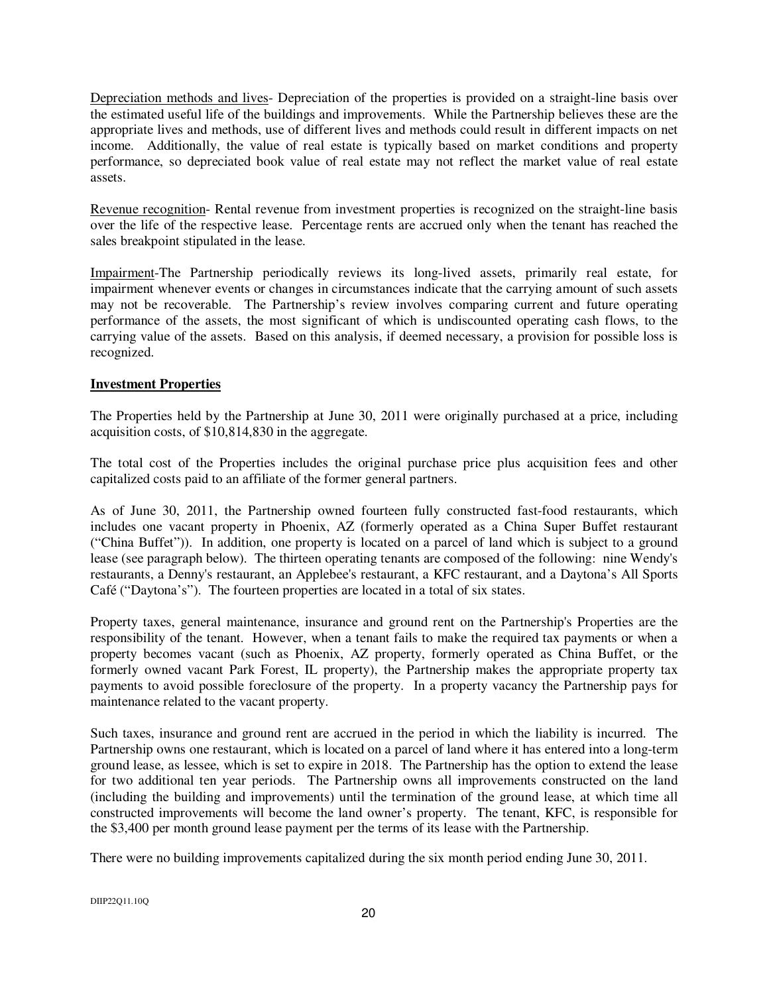Depreciation methods and lives- Depreciation of the properties is provided on a straight-line basis over the estimated useful life of the buildings and improvements. While the Partnership believes these are the appropriate lives and methods, use of different lives and methods could result in different impacts on net income. Additionally, the value of real estate is typically based on market conditions and property performance, so depreciated book value of real estate may not reflect the market value of real estate assets.

Revenue recognition- Rental revenue from investment properties is recognized on the straight-line basis over the life of the respective lease. Percentage rents are accrued only when the tenant has reached the sales breakpoint stipulated in the lease.

Impairment-The Partnership periodically reviews its long-lived assets, primarily real estate, for impairment whenever events or changes in circumstances indicate that the carrying amount of such assets may not be recoverable. The Partnership's review involves comparing current and future operating performance of the assets, the most significant of which is undiscounted operating cash flows, to the carrying value of the assets. Based on this analysis, if deemed necessary, a provision for possible loss is recognized.

# **Investment Properties**

The Properties held by the Partnership at June 30, 2011 were originally purchased at a price, including acquisition costs, of \$10,814,830 in the aggregate.

The total cost of the Properties includes the original purchase price plus acquisition fees and other capitalized costs paid to an affiliate of the former general partners.

As of June 30, 2011, the Partnership owned fourteen fully constructed fast-food restaurants, which includes one vacant property in Phoenix, AZ (formerly operated as a China Super Buffet restaurant ("China Buffet")). In addition, one property is located on a parcel of land which is subject to a ground lease (see paragraph below). The thirteen operating tenants are composed of the following: nine Wendy's restaurants, a Denny's restaurant, an Applebee's restaurant, a KFC restaurant, and a Daytona's All Sports Café ("Daytona's"). The fourteen properties are located in a total of six states.

Property taxes, general maintenance, insurance and ground rent on the Partnership's Properties are the responsibility of the tenant. However, when a tenant fails to make the required tax payments or when a property becomes vacant (such as Phoenix, AZ property, formerly operated as China Buffet, or the formerly owned vacant Park Forest, IL property), the Partnership makes the appropriate property tax payments to avoid possible foreclosure of the property. In a property vacancy the Partnership pays for maintenance related to the vacant property.

Such taxes, insurance and ground rent are accrued in the period in which the liability is incurred. The Partnership owns one restaurant, which is located on a parcel of land where it has entered into a long-term ground lease, as lessee, which is set to expire in 2018. The Partnership has the option to extend the lease for two additional ten year periods. The Partnership owns all improvements constructed on the land (including the building and improvements) until the termination of the ground lease, at which time all constructed improvements will become the land owner's property. The tenant, KFC, is responsible for the \$3,400 per month ground lease payment per the terms of its lease with the Partnership.

There were no building improvements capitalized during the six month period ending June 30, 2011.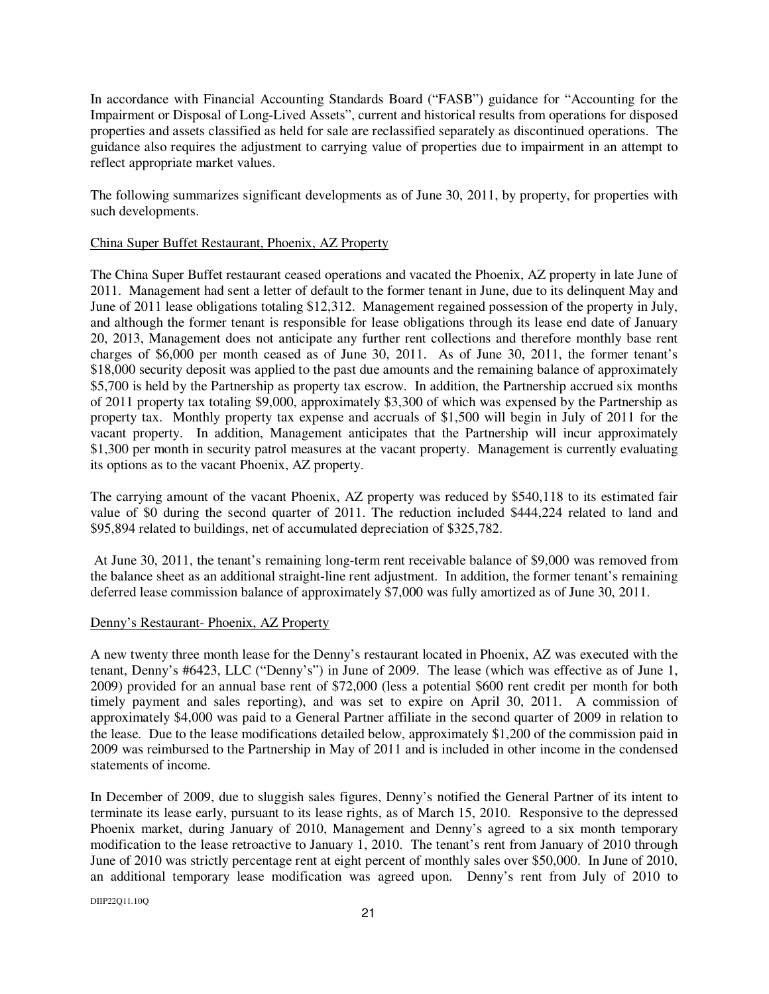In accordance with Financial Accounting Standards Board ("FASB") guidance for "Accounting for the Impairment or Disposal of Long-Lived Assets", current and historical results from operations for disposed properties and assets classified as held for sale are reclassified separately as discontinued operations. The guidance also requires the adjustment to carrying value of properties due to impairment in an attempt to reflect appropriate market values.

The following summarizes significant developments as of June 30, 2011, by property, for properties with such developments.

#### China Super Buffet Restaurant, Phoenix, AZ Property

The China Super Buffet restaurant ceased operations and vacated the Phoenix, AZ property in late June of 2011. Management had sent a letter of default to the former tenant in June, due to its delinquent May and June of 2011 lease obligations totaling \$12,312. Management regained possession of the property in July, and although the former tenant is responsible for lease obligations through its lease end date of January 20, 2013, Management does not anticipate any further rent collections and therefore monthly base rent charges of \$6,000 per month ceased as of June 30, 2011. As of June 30, 2011, the former tenant's \$18,000 security deposit was applied to the past due amounts and the remaining balance of approximately \$5,700 is held by the Partnership as property tax escrow. In addition, the Partnership accrued six months of 2011 property tax totaling \$9,000, approximately \$3,300 of which was expensed by the Partnership as property tax. Monthly property tax expense and accruals of \$1,500 will begin in July of 2011 for the vacant property. In addition, Management anticipates that the Partnership will incur approximately \$1,300 per month in security patrol measures at the vacant property. Management is currently evaluating its options as to the vacant Phoenix, AZ property.

The carrying amount of the vacant Phoenix, AZ property was reduced by \$540,118 to its estimated fair value of \$0 during the second quarter of 2011. The reduction included \$444,224 related to land and \$95,894 related to buildings, net of accumulated depreciation of \$325,782.

 At June 30, 2011, the tenant's remaining long-term rent receivable balance of \$9,000 was removed from the balance sheet as an additional straight-line rent adjustment. In addition, the former tenant's remaining deferred lease commission balance of approximately \$7,000 was fully amortized as of June 30, 2011.

#### Denny's Restaurant- Phoenix, AZ Property

A new twenty three month lease for the Denny's restaurant located in Phoenix, AZ was executed with the tenant, Denny's #6423, LLC ("Denny's") in June of 2009. The lease (which was effective as of June 1, 2009) provided for an annual base rent of \$72,000 (less a potential \$600 rent credit per month for both timely payment and sales reporting), and was set to expire on April 30, 2011. A commission of approximately \$4,000 was paid to a General Partner affiliate in the second quarter of 2009 in relation to the lease. Due to the lease modifications detailed below, approximately \$1,200 of the commission paid in 2009 was reimbursed to the Partnership in May of 2011 and is included in other income in the condensed statements of income.

In December of 2009, due to sluggish sales figures, Denny's notified the General Partner of its intent to terminate its lease early, pursuant to its lease rights, as of March 15, 2010. Responsive to the depressed Phoenix market, during January of 2010, Management and Denny's agreed to a six month temporary modification to the lease retroactive to January 1, 2010. The tenant's rent from January of 2010 through June of 2010 was strictly percentage rent at eight percent of monthly sales over \$50,000. In June of 2010, an additional temporary lease modification was agreed upon. Denny's rent from July of 2010 to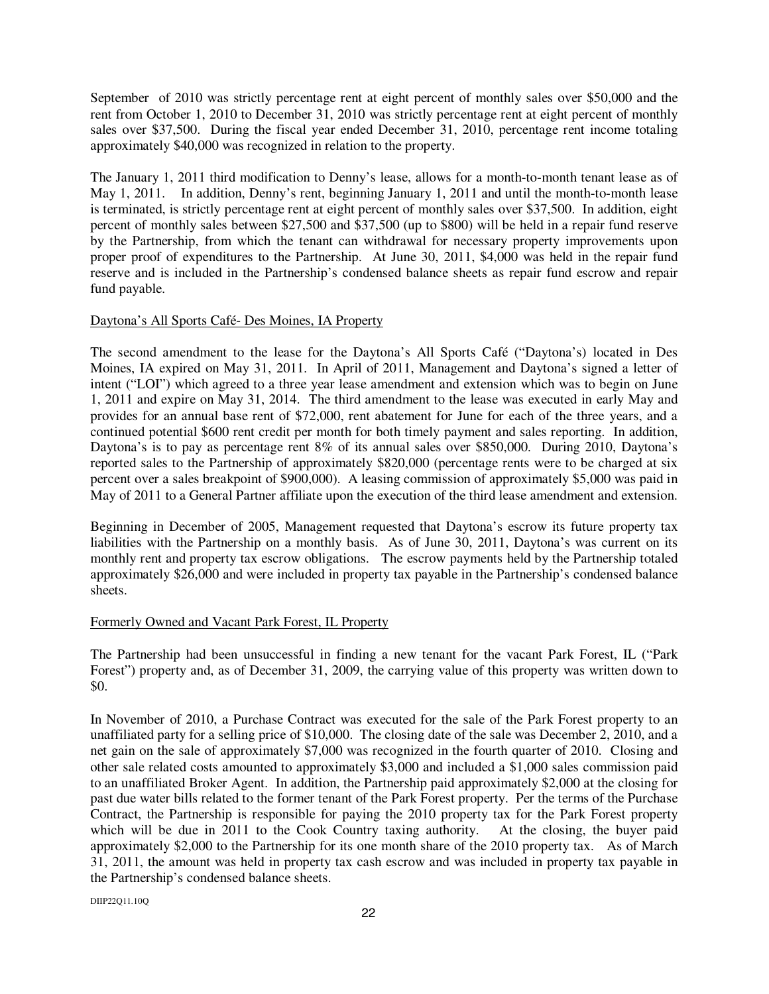September of 2010 was strictly percentage rent at eight percent of monthly sales over \$50,000 and the rent from October 1, 2010 to December 31, 2010 was strictly percentage rent at eight percent of monthly sales over \$37,500. During the fiscal year ended December 31, 2010, percentage rent income totaling approximately \$40,000 was recognized in relation to the property.

The January 1, 2011 third modification to Denny's lease, allows for a month-to-month tenant lease as of May 1, 2011. In addition, Denny's rent, beginning January 1, 2011 and until the month-to-month lease is terminated, is strictly percentage rent at eight percent of monthly sales over \$37,500. In addition, eight percent of monthly sales between \$27,500 and \$37,500 (up to \$800) will be held in a repair fund reserve by the Partnership, from which the tenant can withdrawal for necessary property improvements upon proper proof of expenditures to the Partnership. At June 30, 2011, \$4,000 was held in the repair fund reserve and is included in the Partnership's condensed balance sheets as repair fund escrow and repair fund payable.

#### Daytona's All Sports Café- Des Moines, IA Property

The second amendment to the lease for the Daytona's All Sports Café ("Daytona's) located in Des Moines, IA expired on May 31, 2011. In April of 2011, Management and Daytona's signed a letter of intent ("LOI") which agreed to a three year lease amendment and extension which was to begin on June 1, 2011 and expire on May 31, 2014. The third amendment to the lease was executed in early May and provides for an annual base rent of \$72,000, rent abatement for June for each of the three years, and a continued potential \$600 rent credit per month for both timely payment and sales reporting. In addition, Daytona's is to pay as percentage rent 8% of its annual sales over \$850,000. During 2010, Daytona's reported sales to the Partnership of approximately \$820,000 (percentage rents were to be charged at six percent over a sales breakpoint of \$900,000). A leasing commission of approximately \$5,000 was paid in May of 2011 to a General Partner affiliate upon the execution of the third lease amendment and extension.

Beginning in December of 2005, Management requested that Daytona's escrow its future property tax liabilities with the Partnership on a monthly basis. As of June 30, 2011, Daytona's was current on its monthly rent and property tax escrow obligations. The escrow payments held by the Partnership totaled approximately \$26,000 and were included in property tax payable in the Partnership's condensed balance sheets.

#### Formerly Owned and Vacant Park Forest, IL Property

The Partnership had been unsuccessful in finding a new tenant for the vacant Park Forest, IL ("Park Forest") property and, as of December 31, 2009, the carrying value of this property was written down to \$0.

In November of 2010, a Purchase Contract was executed for the sale of the Park Forest property to an unaffiliated party for a selling price of \$10,000. The closing date of the sale was December 2, 2010, and a net gain on the sale of approximately \$7,000 was recognized in the fourth quarter of 2010. Closing and other sale related costs amounted to approximately \$3,000 and included a \$1,000 sales commission paid to an unaffiliated Broker Agent. In addition, the Partnership paid approximately \$2,000 at the closing for past due water bills related to the former tenant of the Park Forest property. Per the terms of the Purchase Contract, the Partnership is responsible for paying the 2010 property tax for the Park Forest property which will be due in 2011 to the Cook Country taxing authority. At the closing, the buyer paid approximately \$2,000 to the Partnership for its one month share of the 2010 property tax. As of March 31, 2011, the amount was held in property tax cash escrow and was included in property tax payable in the Partnership's condensed balance sheets.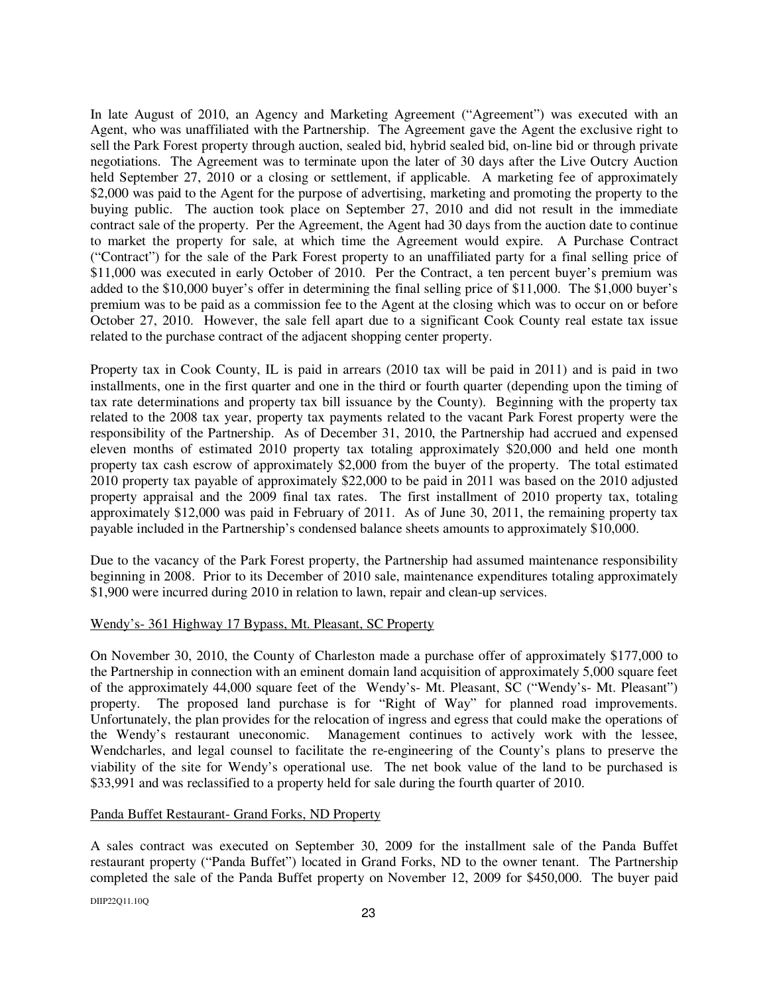In late August of 2010, an Agency and Marketing Agreement ("Agreement") was executed with an Agent, who was unaffiliated with the Partnership. The Agreement gave the Agent the exclusive right to sell the Park Forest property through auction, sealed bid, hybrid sealed bid, on-line bid or through private negotiations. The Agreement was to terminate upon the later of 30 days after the Live Outcry Auction held September 27, 2010 or a closing or settlement, if applicable. A marketing fee of approximately \$2,000 was paid to the Agent for the purpose of advertising, marketing and promoting the property to the buying public. The auction took place on September 27, 2010 and did not result in the immediate contract sale of the property. Per the Agreement, the Agent had 30 days from the auction date to continue to market the property for sale, at which time the Agreement would expire.A Purchase Contract ("Contract") for the sale of the Park Forest property to an unaffiliated party for a final selling price of \$11,000 was executed in early October of 2010. Per the Contract, a ten percent buyer's premium was added to the \$10,000 buyer's offer in determining the final selling price of \$11,000. The \$1,000 buyer's premium was to be paid as a commission fee to the Agent at the closing which was to occur on or before October 27, 2010. However, the sale fell apart due to a significant Cook County real estate tax issue related to the purchase contract of the adjacent shopping center property.

Property tax in Cook County, IL is paid in arrears (2010 tax will be paid in 2011) and is paid in two installments, one in the first quarter and one in the third or fourth quarter (depending upon the timing of tax rate determinations and property tax bill issuance by the County). Beginning with the property tax related to the 2008 tax year, property tax payments related to the vacant Park Forest property were the responsibility of the Partnership. As of December 31, 2010, the Partnership had accrued and expensed eleven months of estimated 2010 property tax totaling approximately \$20,000 and held one month property tax cash escrow of approximately \$2,000 from the buyer of the property. The total estimated 2010 property tax payable of approximately \$22,000 to be paid in 2011 was based on the 2010 adjusted property appraisal and the 2009 final tax rates. The first installment of 2010 property tax, totaling approximately \$12,000 was paid in February of 2011. As of June 30, 2011, the remaining property tax payable included in the Partnership's condensed balance sheets amounts to approximately \$10,000.

Due to the vacancy of the Park Forest property, the Partnership had assumed maintenance responsibility beginning in 2008. Prior to its December of 2010 sale, maintenance expenditures totaling approximately \$1,900 were incurred during 2010 in relation to lawn, repair and clean-up services.

#### Wendy's- 361 Highway 17 Bypass, Mt. Pleasant, SC Property

On November 30, 2010, the County of Charleston made a purchase offer of approximately \$177,000 to the Partnership in connection with an eminent domain land acquisition of approximately 5,000 square feet of the approximately 44,000 square feet of the Wendy's- Mt. Pleasant, SC ("Wendy's- Mt. Pleasant") property. The proposed land purchase is for "Right of Way" for planned road improvements. Unfortunately, the plan provides for the relocation of ingress and egress that could make the operations of the Wendy's restaurant uneconomic. Management continues to actively work with the lessee, Wendcharles, and legal counsel to facilitate the re-engineering of the County's plans to preserve the viability of the site for Wendy's operational use. The net book value of the land to be purchased is \$33,991 and was reclassified to a property held for sale during the fourth quarter of 2010.

#### Panda Buffet Restaurant- Grand Forks, ND Property

A sales contract was executed on September 30, 2009 for the installment sale of the Panda Buffet restaurant property ("Panda Buffet") located in Grand Forks, ND to the owner tenant. The Partnership completed the sale of the Panda Buffet property on November 12, 2009 for \$450,000. The buyer paid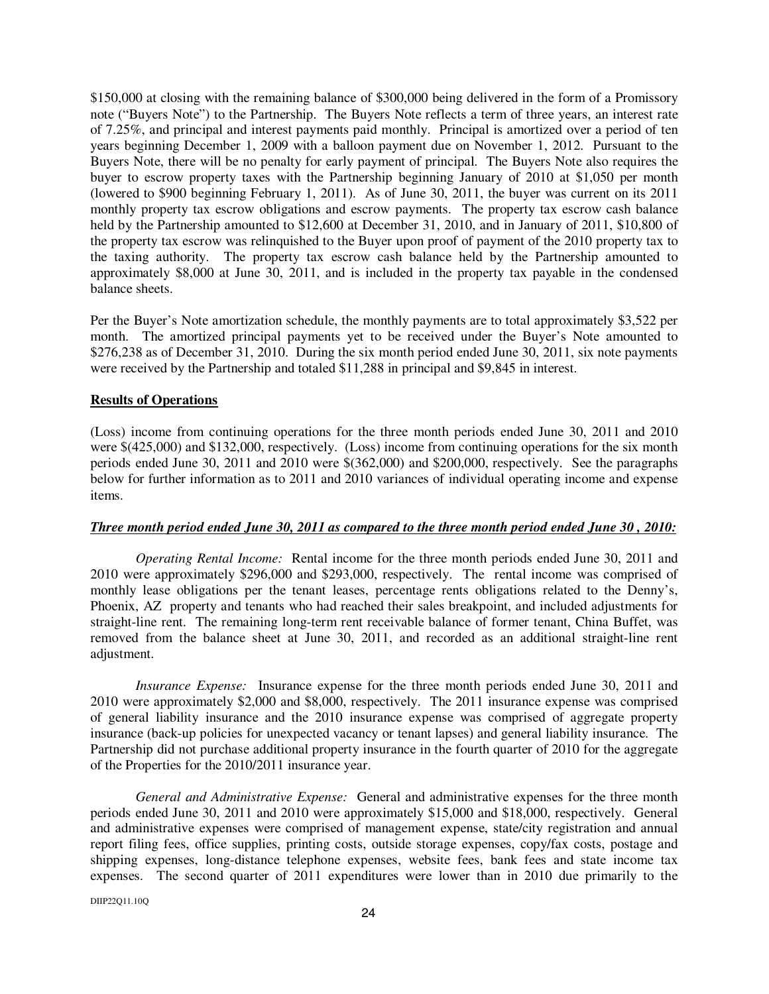\$150,000 at closing with the remaining balance of \$300,000 being delivered in the form of a Promissory note ("Buyers Note") to the Partnership. The Buyers Note reflects a term of three years, an interest rate of 7.25%, and principal and interest payments paid monthly. Principal is amortized over a period of ten years beginning December 1, 2009 with a balloon payment due on November 1, 2012. Pursuant to the Buyers Note, there will be no penalty for early payment of principal. The Buyers Note also requires the buyer to escrow property taxes with the Partnership beginning January of 2010 at \$1,050 per month (lowered to \$900 beginning February 1, 2011). As of June 30, 2011, the buyer was current on its 2011 monthly property tax escrow obligations and escrow payments. The property tax escrow cash balance held by the Partnership amounted to \$12,600 at December 31, 2010, and in January of 2011, \$10,800 of the property tax escrow was relinquished to the Buyer upon proof of payment of the 2010 property tax to the taxing authority. The property tax escrow cash balance held by the Partnership amounted to approximately \$8,000 at June 30, 2011, and is included in the property tax payable in the condensed balance sheets.

Per the Buyer's Note amortization schedule, the monthly payments are to total approximately \$3,522 per month. The amortized principal payments yet to be received under the Buyer's Note amounted to \$276,238 as of December 31, 2010. During the six month period ended June 30, 2011, six note payments were received by the Partnership and totaled \$11,288 in principal and \$9,845 in interest.

#### **Results of Operations**

(Loss) income from continuing operations for the three month periods ended June 30, 2011 and 2010 were \$(425,000) and \$132,000, respectively. (Loss) income from continuing operations for the six month periods ended June 30, 2011 and 2010 were \$(362,000) and \$200,000, respectively. See the paragraphs below for further information as to 2011 and 2010 variances of individual operating income and expense items.

#### *Three month period ended June 30, 2011 as compared to the three month period ended June 30 , 2010:*

*Operating Rental Income:* Rental income for the three month periods ended June 30, 2011 and 2010 were approximately \$296,000 and \$293,000, respectively. The rental income was comprised of monthly lease obligations per the tenant leases, percentage rents obligations related to the Denny's, Phoenix, AZ property and tenants who had reached their sales breakpoint, and included adjustments for straight-line rent. The remaining long-term rent receivable balance of former tenant, China Buffet, was removed from the balance sheet at June 30, 2011, and recorded as an additional straight-line rent adjustment.

*Insurance Expense:* Insurance expense for the three month periods ended June 30, 2011 and 2010 were approximately \$2,000 and \$8,000, respectively. The 2011 insurance expense was comprised of general liability insurance and the 2010 insurance expense was comprised of aggregate property insurance (back-up policies for unexpected vacancy or tenant lapses) and general liability insurance. The Partnership did not purchase additional property insurance in the fourth quarter of 2010 for the aggregate of the Properties for the 2010/2011 insurance year.

*General and Administrative Expense:* General and administrative expenses for the three month periods ended June 30, 2011 and 2010 were approximately \$15,000 and \$18,000, respectively. General and administrative expenses were comprised of management expense, state/city registration and annual report filing fees, office supplies, printing costs, outside storage expenses, copy/fax costs, postage and shipping expenses, long-distance telephone expenses, website fees, bank fees and state income tax expenses. The second quarter of 2011 expenditures were lower than in 2010 due primarily to the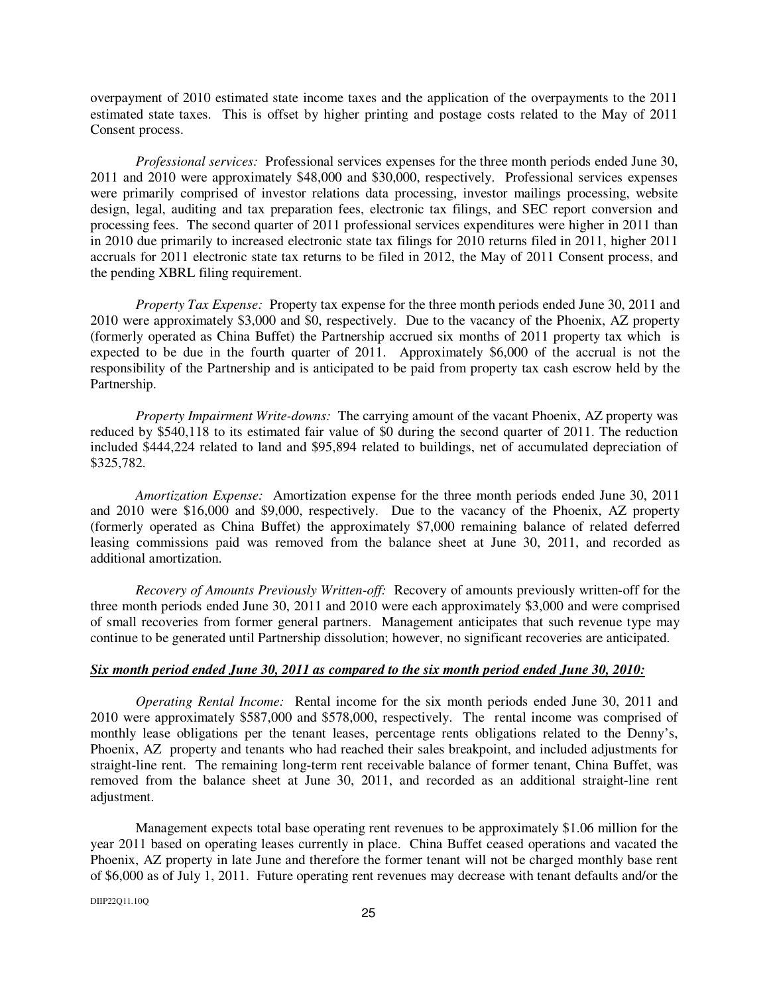overpayment of 2010 estimated state income taxes and the application of the overpayments to the 2011 estimated state taxes. This is offset by higher printing and postage costs related to the May of 2011 Consent process.

*Professional services:* Professional services expenses for the three month periods ended June 30, 2011 and 2010 were approximately \$48,000 and \$30,000, respectively. Professional services expenses were primarily comprised of investor relations data processing, investor mailings processing, website design, legal, auditing and tax preparation fees, electronic tax filings, and SEC report conversion and processing fees. The second quarter of 2011 professional services expenditures were higher in 2011 than in 2010 due primarily to increased electronic state tax filings for 2010 returns filed in 2011, higher 2011 accruals for 2011 electronic state tax returns to be filed in 2012, the May of 2011 Consent process, and the pending XBRL filing requirement.

*Property Tax Expense:* Property tax expense for the three month periods ended June 30, 2011 and 2010 were approximately \$3,000 and \$0, respectively. Due to the vacancy of the Phoenix, AZ property (formerly operated as China Buffet) the Partnership accrued six months of 2011 property tax which is expected to be due in the fourth quarter of 2011. Approximately \$6,000 of the accrual is not the responsibility of the Partnership and is anticipated to be paid from property tax cash escrow held by the Partnership.

*Property Impairment Write-downs:* The carrying amount of the vacant Phoenix, AZ property was reduced by \$540,118 to its estimated fair value of \$0 during the second quarter of 2011. The reduction included \$444,224 related to land and \$95,894 related to buildings, net of accumulated depreciation of \$325,782.

*Amortization Expense:* Amortization expense for the three month periods ended June 30, 2011 and 2010 were \$16,000 and \$9,000, respectively. Due to the vacancy of the Phoenix, AZ property (formerly operated as China Buffet) the approximately \$7,000 remaining balance of related deferred leasing commissions paid was removed from the balance sheet at June 30, 2011, and recorded as additional amortization.

*Recovery of Amounts Previously Written-off:* Recovery of amounts previously written-off for the three month periods ended June 30, 2011 and 2010 were each approximately \$3,000 and were comprised of small recoveries from former general partners. Management anticipates that such revenue type may continue to be generated until Partnership dissolution; however, no significant recoveries are anticipated.

#### *Six month period ended June 30, 2011 as compared to the six month period ended June 30, 2010:*

*Operating Rental Income:* Rental income for the six month periods ended June 30, 2011 and 2010 were approximately \$587,000 and \$578,000, respectively. The rental income was comprised of monthly lease obligations per the tenant leases, percentage rents obligations related to the Denny's, Phoenix, AZ property and tenants who had reached their sales breakpoint, and included adjustments for straight-line rent. The remaining long-term rent receivable balance of former tenant, China Buffet, was removed from the balance sheet at June 30, 2011, and recorded as an additional straight-line rent adjustment.

Management expects total base operating rent revenues to be approximately \$1.06 million for the year 2011 based on operating leases currently in place. China Buffet ceased operations and vacated the Phoenix, AZ property in late June and therefore the former tenant will not be charged monthly base rent of \$6,000 as of July 1, 2011. Future operating rent revenues may decrease with tenant defaults and/or the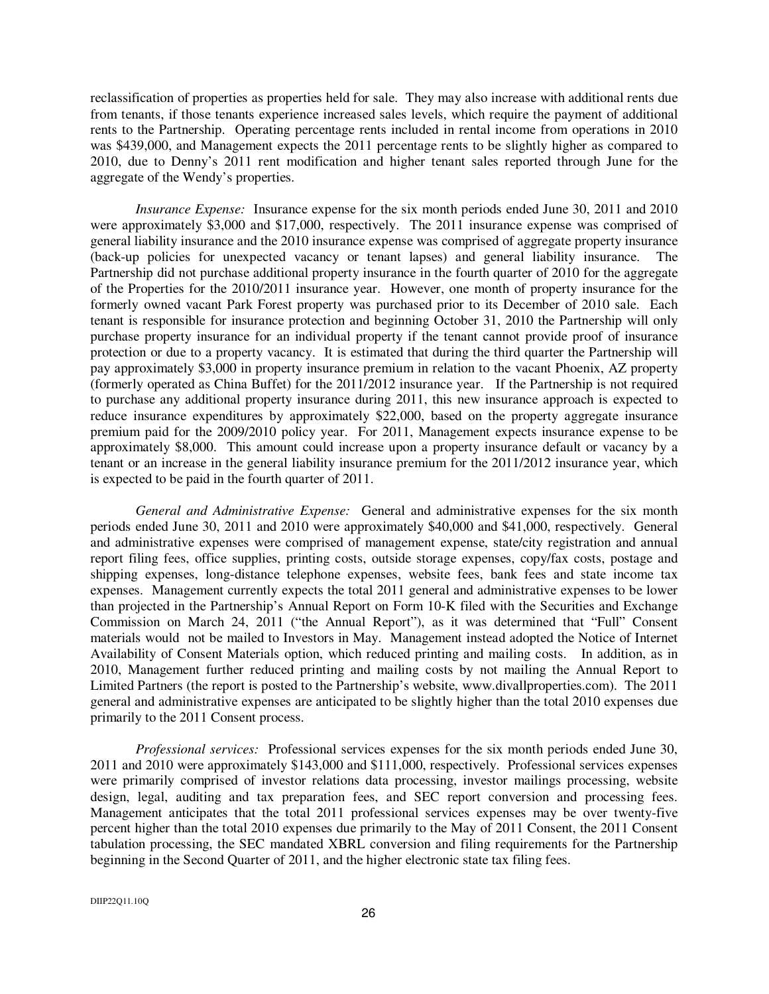reclassification of properties as properties held for sale. They may also increase with additional rents due from tenants, if those tenants experience increased sales levels, which require the payment of additional rents to the Partnership. Operating percentage rents included in rental income from operations in 2010 was \$439,000, and Management expects the 2011 percentage rents to be slightly higher as compared to 2010, due to Denny's 2011 rent modification and higher tenant sales reported through June for the aggregate of the Wendy's properties.

*Insurance Expense:* Insurance expense for the six month periods ended June 30, 2011 and 2010 were approximately \$3,000 and \$17,000, respectively. The 2011 insurance expense was comprised of general liability insurance and the 2010 insurance expense was comprised of aggregate property insurance (back-up policies for unexpected vacancy or tenant lapses) and general liability insurance. The Partnership did not purchase additional property insurance in the fourth quarter of 2010 for the aggregate of the Properties for the 2010/2011 insurance year. However, one month of property insurance for the formerly owned vacant Park Forest property was purchased prior to its December of 2010 sale. Each tenant is responsible for insurance protection and beginning October 31, 2010 the Partnership will only purchase property insurance for an individual property if the tenant cannot provide proof of insurance protection or due to a property vacancy. It is estimated that during the third quarter the Partnership will pay approximately \$3,000 in property insurance premium in relation to the vacant Phoenix, AZ property (formerly operated as China Buffet) for the 2011/2012 insurance year. If the Partnership is not required to purchase any additional property insurance during 2011, this new insurance approach is expected to reduce insurance expenditures by approximately \$22,000, based on the property aggregate insurance premium paid for the 2009/2010 policy year. For 2011, Management expects insurance expense to be approximately \$8,000. This amount could increase upon a property insurance default or vacancy by a tenant or an increase in the general liability insurance premium for the 2011/2012 insurance year, which is expected to be paid in the fourth quarter of 2011.

*General and Administrative Expense:* General and administrative expenses for the six month periods ended June 30, 2011 and 2010 were approximately \$40,000 and \$41,000, respectively. General and administrative expenses were comprised of management expense, state/city registration and annual report filing fees, office supplies, printing costs, outside storage expenses, copy/fax costs, postage and shipping expenses, long-distance telephone expenses, website fees, bank fees and state income tax expenses. Management currently expects the total 2011 general and administrative expenses to be lower than projected in the Partnership's Annual Report on Form 10-K filed with the Securities and Exchange Commission on March 24, 2011 ("the Annual Report"), as it was determined that "Full" Consent materials would not be mailed to Investors in May. Management instead adopted the Notice of Internet Availability of Consent Materials option, which reduced printing and mailing costs. In addition, as in 2010, Management further reduced printing and mailing costs by not mailing the Annual Report to Limited Partners (the report is posted to the Partnership's website, www.divallproperties.com). The 2011 general and administrative expenses are anticipated to be slightly higher than the total 2010 expenses due primarily to the 2011 Consent process.

*Professional services:* Professional services expenses for the six month periods ended June 30, 2011 and 2010 were approximately \$143,000 and \$111,000, respectively. Professional services expenses were primarily comprised of investor relations data processing, investor mailings processing, website design, legal, auditing and tax preparation fees, and SEC report conversion and processing fees. Management anticipates that the total 2011 professional services expenses may be over twenty-five percent higher than the total 2010 expenses due primarily to the May of 2011 Consent, the 2011 Consent tabulation processing, the SEC mandated XBRL conversion and filing requirements for the Partnership beginning in the Second Quarter of 2011, and the higher electronic state tax filing fees.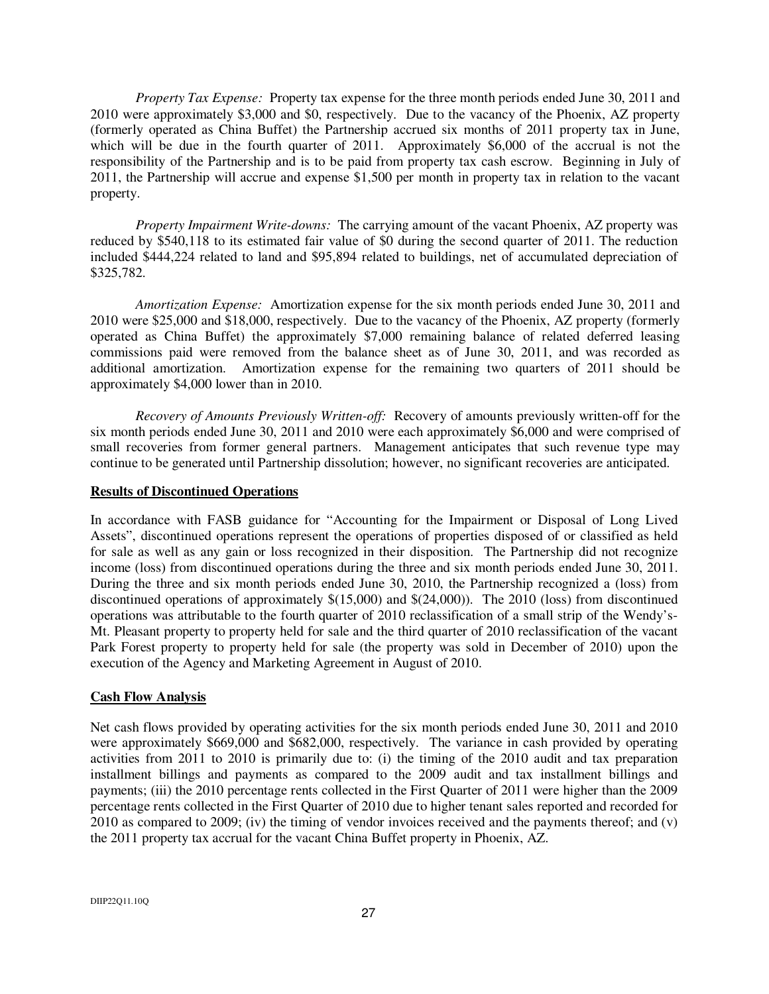*Property Tax Expense:* Property tax expense for the three month periods ended June 30, 2011 and 2010 were approximately \$3,000 and \$0, respectively. Due to the vacancy of the Phoenix, AZ property (formerly operated as China Buffet) the Partnership accrued six months of 2011 property tax in June, which will be due in the fourth quarter of 2011. Approximately \$6,000 of the accrual is not the responsibility of the Partnership and is to be paid from property tax cash escrow. Beginning in July of 2011, the Partnership will accrue and expense \$1,500 per month in property tax in relation to the vacant property.

*Property Impairment Write-downs:* The carrying amount of the vacant Phoenix, AZ property was reduced by \$540,118 to its estimated fair value of \$0 during the second quarter of 2011. The reduction included \$444,224 related to land and \$95,894 related to buildings, net of accumulated depreciation of \$325,782.

*Amortization Expense:* Amortization expense for the six month periods ended June 30, 2011 and 2010 were \$25,000 and \$18,000, respectively. Due to the vacancy of the Phoenix, AZ property (formerly operated as China Buffet) the approximately \$7,000 remaining balance of related deferred leasing commissions paid were removed from the balance sheet as of June 30, 2011, and was recorded as additional amortization. Amortization expense for the remaining two quarters of 2011 should be approximately \$4,000 lower than in 2010.

*Recovery of Amounts Previously Written-off:* Recovery of amounts previously written-off for the six month periods ended June 30, 2011 and 2010 were each approximately \$6,000 and were comprised of small recoveries from former general partners. Management anticipates that such revenue type may continue to be generated until Partnership dissolution; however, no significant recoveries are anticipated.

#### **Results of Discontinued Operations**

In accordance with FASB guidance for "Accounting for the Impairment or Disposal of Long Lived Assets", discontinued operations represent the operations of properties disposed of or classified as held for sale as well as any gain or loss recognized in their disposition. The Partnership did not recognize income (loss) from discontinued operations during the three and six month periods ended June 30, 2011. During the three and six month periods ended June 30, 2010, the Partnership recognized a (loss) from discontinued operations of approximately \$(15,000) and \$(24,000)). The 2010 (loss) from discontinued operations was attributable to the fourth quarter of 2010 reclassification of a small strip of the Wendy's-Mt. Pleasant property to property held for sale and the third quarter of 2010 reclassification of the vacant Park Forest property to property held for sale (the property was sold in December of 2010) upon the execution of the Agency and Marketing Agreement in August of 2010.

#### **Cash Flow Analysis**

Net cash flows provided by operating activities for the six month periods ended June 30, 2011 and 2010 were approximately \$669,000 and \$682,000, respectively. The variance in cash provided by operating activities from 2011 to 2010 is primarily due to: (i) the timing of the 2010 audit and tax preparation installment billings and payments as compared to the 2009 audit and tax installment billings and payments; (iii) the 2010 percentage rents collected in the First Quarter of 2011 were higher than the 2009 percentage rents collected in the First Quarter of 2010 due to higher tenant sales reported and recorded for 2010 as compared to 2009; (iv) the timing of vendor invoices received and the payments thereof; and (v) the 2011 property tax accrual for the vacant China Buffet property in Phoenix, AZ.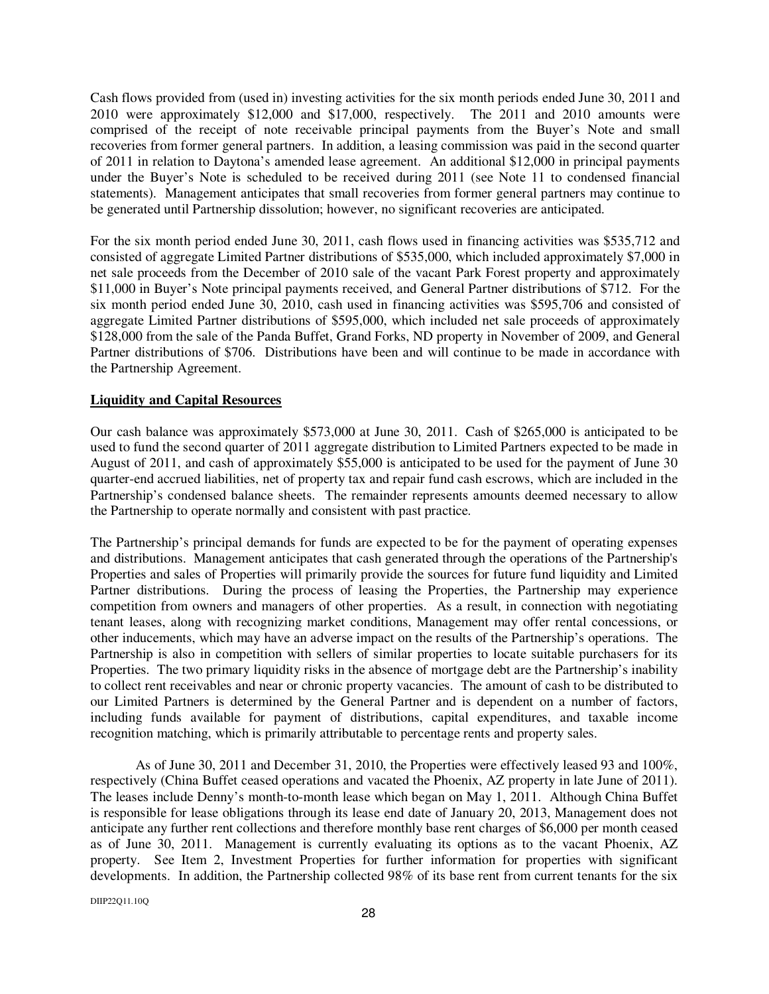Cash flows provided from (used in) investing activities for the six month periods ended June 30, 2011 and 2010 were approximately \$12,000 and \$17,000, respectively. The 2011 and 2010 amounts were comprised of the receipt of note receivable principal payments from the Buyer's Note and small recoveries from former general partners. In addition, a leasing commission was paid in the second quarter of 2011 in relation to Daytona's amended lease agreement. An additional \$12,000 in principal payments under the Buyer's Note is scheduled to be received during 2011 (see Note 11 to condensed financial statements). Management anticipates that small recoveries from former general partners may continue to be generated until Partnership dissolution; however, no significant recoveries are anticipated.

For the six month period ended June 30, 2011, cash flows used in financing activities was \$535,712 and consisted of aggregate Limited Partner distributions of \$535,000, which included approximately \$7,000 in net sale proceeds from the December of 2010 sale of the vacant Park Forest property and approximately \$11,000 in Buyer's Note principal payments received, and General Partner distributions of \$712. For the six month period ended June 30, 2010, cash used in financing activities was \$595,706 and consisted of aggregate Limited Partner distributions of \$595,000, which included net sale proceeds of approximately \$128,000 from the sale of the Panda Buffet, Grand Forks, ND property in November of 2009, and General Partner distributions of \$706. Distributions have been and will continue to be made in accordance with the Partnership Agreement.

#### **Liquidity and Capital Resources**

Our cash balance was approximately \$573,000 at June 30, 2011. Cash of \$265,000 is anticipated to be used to fund the second quarter of 2011 aggregate distribution to Limited Partners expected to be made in August of 2011, and cash of approximately \$55,000 is anticipated to be used for the payment of June 30 quarter-end accrued liabilities, net of property tax and repair fund cash escrows, which are included in the Partnership's condensed balance sheets. The remainder represents amounts deemed necessary to allow the Partnership to operate normally and consistent with past practice.

The Partnership's principal demands for funds are expected to be for the payment of operating expenses and distributions. Management anticipates that cash generated through the operations of the Partnership's Properties and sales of Properties will primarily provide the sources for future fund liquidity and Limited Partner distributions. During the process of leasing the Properties, the Partnership may experience competition from owners and managers of other properties. As a result, in connection with negotiating tenant leases, along with recognizing market conditions, Management may offer rental concessions, or other inducements, which may have an adverse impact on the results of the Partnership's operations. The Partnership is also in competition with sellers of similar properties to locate suitable purchasers for its Properties. The two primary liquidity risks in the absence of mortgage debt are the Partnership's inability to collect rent receivables and near or chronic property vacancies. The amount of cash to be distributed to our Limited Partners is determined by the General Partner and is dependent on a number of factors, including funds available for payment of distributions, capital expenditures, and taxable income recognition matching, which is primarily attributable to percentage rents and property sales.

As of June 30, 2011 and December 31, 2010, the Properties were effectively leased 93 and 100%, respectively (China Buffet ceased operations and vacated the Phoenix, AZ property in late June of 2011). The leases include Denny's month-to-month lease which began on May 1, 2011. Although China Buffet is responsible for lease obligations through its lease end date of January 20, 2013, Management does not anticipate any further rent collections and therefore monthly base rent charges of \$6,000 per month ceased as of June 30, 2011. Management is currently evaluating its options as to the vacant Phoenix, AZ property. See Item 2, Investment Properties for further information for properties with significant developments. In addition, the Partnership collected 98% of its base rent from current tenants for the six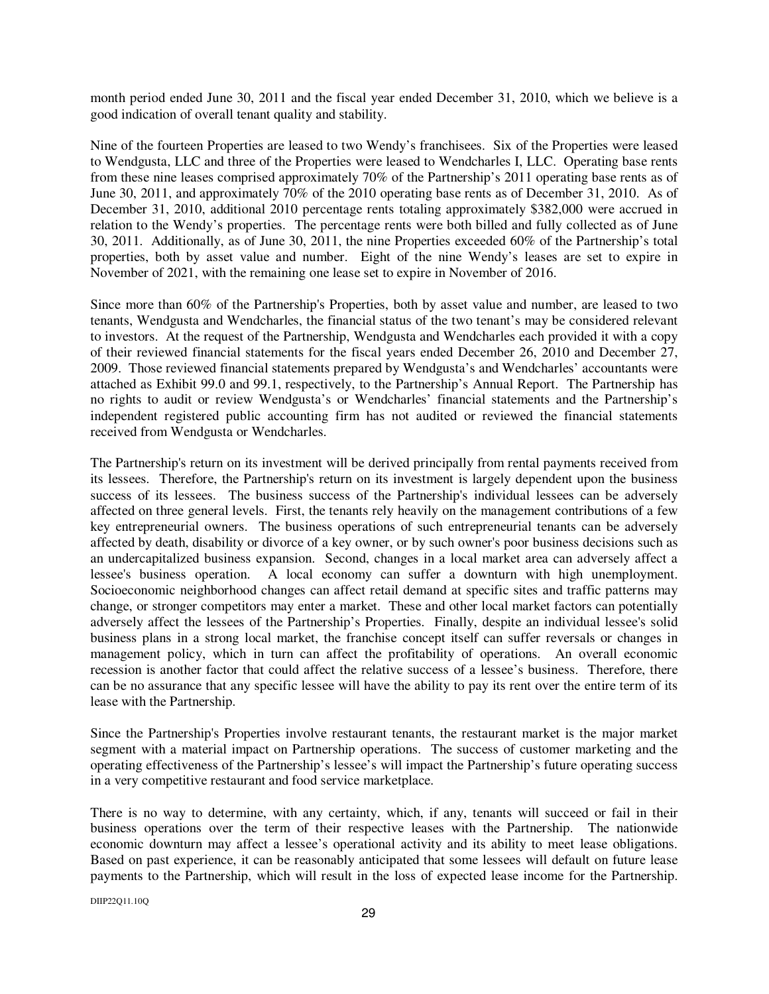month period ended June 30, 2011 and the fiscal year ended December 31, 2010, which we believe is a good indication of overall tenant quality and stability.

Nine of the fourteen Properties are leased to two Wendy's franchisees. Six of the Properties were leased to Wendgusta, LLC and three of the Properties were leased to Wendcharles I, LLC. Operating base rents from these nine leases comprised approximately 70% of the Partnership's 2011 operating base rents as of June 30, 2011, and approximately 70% of the 2010 operating base rents as of December 31, 2010. As of December 31, 2010, additional 2010 percentage rents totaling approximately \$382,000 were accrued in relation to the Wendy's properties. The percentage rents were both billed and fully collected as of June 30, 2011. Additionally, as of June 30, 2011, the nine Properties exceeded 60% of the Partnership's total properties, both by asset value and number. Eight of the nine Wendy's leases are set to expire in November of 2021, with the remaining one lease set to expire in November of 2016.

Since more than 60% of the Partnership's Properties, both by asset value and number, are leased to two tenants, Wendgusta and Wendcharles, the financial status of the two tenant's may be considered relevant to investors. At the request of the Partnership, Wendgusta and Wendcharles each provided it with a copy of their reviewed financial statements for the fiscal years ended December 26, 2010 and December 27, 2009. Those reviewed financial statements prepared by Wendgusta's and Wendcharles' accountants were attached as Exhibit 99.0 and 99.1, respectively, to the Partnership's Annual Report. The Partnership has no rights to audit or review Wendgusta's or Wendcharles' financial statements and the Partnership's independent registered public accounting firm has not audited or reviewed the financial statements received from Wendgusta or Wendcharles.

The Partnership's return on its investment will be derived principally from rental payments received from its lessees. Therefore, the Partnership's return on its investment is largely dependent upon the business success of its lessees. The business success of the Partnership's individual lessees can be adversely affected on three general levels. First, the tenants rely heavily on the management contributions of a few key entrepreneurial owners. The business operations of such entrepreneurial tenants can be adversely affected by death, disability or divorce of a key owner, or by such owner's poor business decisions such as an undercapitalized business expansion. Second, changes in a local market area can adversely affect a lessee's business operation. A local economy can suffer a downturn with high unemployment. Socioeconomic neighborhood changes can affect retail demand at specific sites and traffic patterns may change, or stronger competitors may enter a market. These and other local market factors can potentially adversely affect the lessees of the Partnership's Properties. Finally, despite an individual lessee's solid business plans in a strong local market, the franchise concept itself can suffer reversals or changes in management policy, which in turn can affect the profitability of operations. An overall economic recession is another factor that could affect the relative success of a lessee's business. Therefore, there can be no assurance that any specific lessee will have the ability to pay its rent over the entire term of its lease with the Partnership.

Since the Partnership's Properties involve restaurant tenants, the restaurant market is the major market segment with a material impact on Partnership operations. The success of customer marketing and the operating effectiveness of the Partnership's lessee's will impact the Partnership's future operating success in a very competitive restaurant and food service marketplace.

There is no way to determine, with any certainty, which, if any, tenants will succeed or fail in their business operations over the term of their respective leases with the Partnership. The nationwide economic downturn may affect a lessee's operational activity and its ability to meet lease obligations. Based on past experience, it can be reasonably anticipated that some lessees will default on future lease payments to the Partnership, which will result in the loss of expected lease income for the Partnership.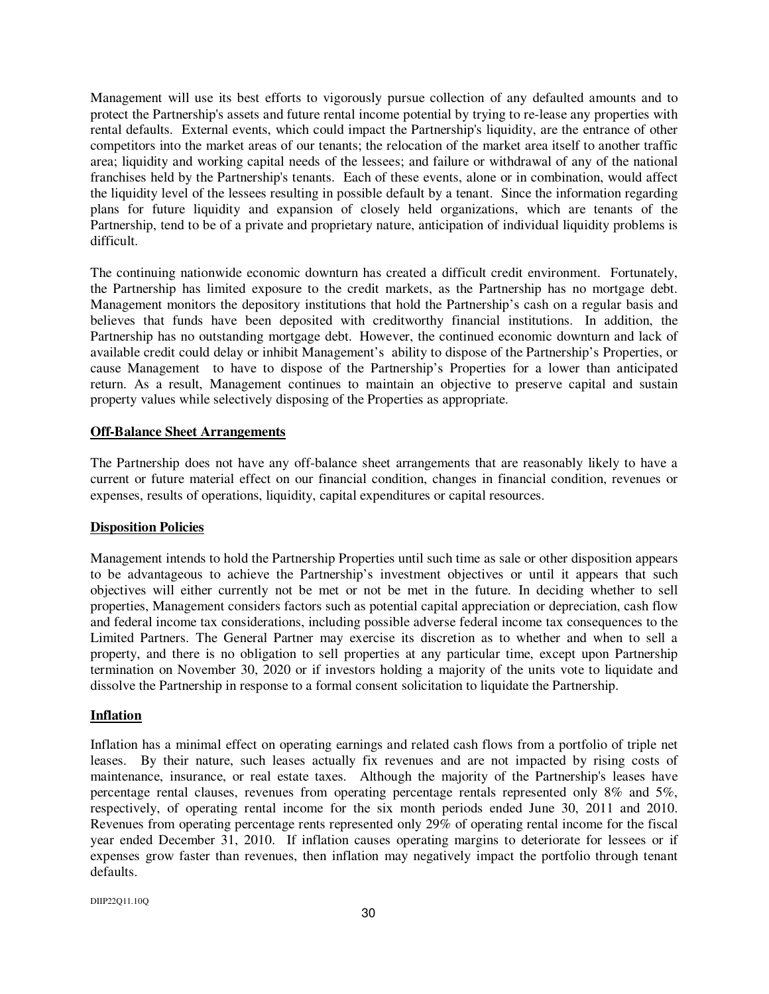Management will use its best efforts to vigorously pursue collection of any defaulted amounts and to protect the Partnership's assets and future rental income potential by trying to re-lease any properties with rental defaults. External events, which could impact the Partnership's liquidity, are the entrance of other competitors into the market areas of our tenants; the relocation of the market area itself to another traffic area; liquidity and working capital needs of the lessees; and failure or withdrawal of any of the national franchises held by the Partnership's tenants. Each of these events, alone or in combination, would affect the liquidity level of the lessees resulting in possible default by a tenant. Since the information regarding plans for future liquidity and expansion of closely held organizations, which are tenants of the Partnership, tend to be of a private and proprietary nature, anticipation of individual liquidity problems is difficult.

The continuing nationwide economic downturn has created a difficult credit environment. Fortunately, the Partnership has limited exposure to the credit markets, as the Partnership has no mortgage debt. Management monitors the depository institutions that hold the Partnership's cash on a regular basis and believes that funds have been deposited with creditworthy financial institutions. In addition, the Partnership has no outstanding mortgage debt. However, the continued economic downturn and lack of available credit could delay or inhibit Management's ability to dispose of the Partnership's Properties, or cause Management to have to dispose of the Partnership's Properties for a lower than anticipated return. As a result, Management continues to maintain an objective to preserve capital and sustain property values while selectively disposing of the Properties as appropriate.

#### **Off-Balance Sheet Arrangements**

The Partnership does not have any off-balance sheet arrangements that are reasonably likely to have a current or future material effect on our financial condition, changes in financial condition, revenues or expenses, results of operations, liquidity, capital expenditures or capital resources.

#### **Disposition Policies**

Management intends to hold the Partnership Properties until such time as sale or other disposition appears to be advantageous to achieve the Partnership's investment objectives or until it appears that such objectives will either currently not be met or not be met in the future. In deciding whether to sell properties, Management considers factors such as potential capital appreciation or depreciation, cash flow and federal income tax considerations, including possible adverse federal income tax consequences to the Limited Partners. The General Partner may exercise its discretion as to whether and when to sell a property, and there is no obligation to sell properties at any particular time, except upon Partnership termination on November 30, 2020 or if investors holding a majority of the units vote to liquidate and dissolve the Partnership in response to a formal consent solicitation to liquidate the Partnership.

#### **Inflation**

Inflation has a minimal effect on operating earnings and related cash flows from a portfolio of triple net leases. By their nature, such leases actually fix revenues and are not impacted by rising costs of maintenance, insurance, or real estate taxes. Although the majority of the Partnership's leases have percentage rental clauses, revenues from operating percentage rentals represented only 8% and 5%, respectively, of operating rental income for the six month periods ended June 30, 2011 and 2010. Revenues from operating percentage rents represented only 29% of operating rental income for the fiscal year ended December 31, 2010. If inflation causes operating margins to deteriorate for lessees or if expenses grow faster than revenues, then inflation may negatively impact the portfolio through tenant defaults.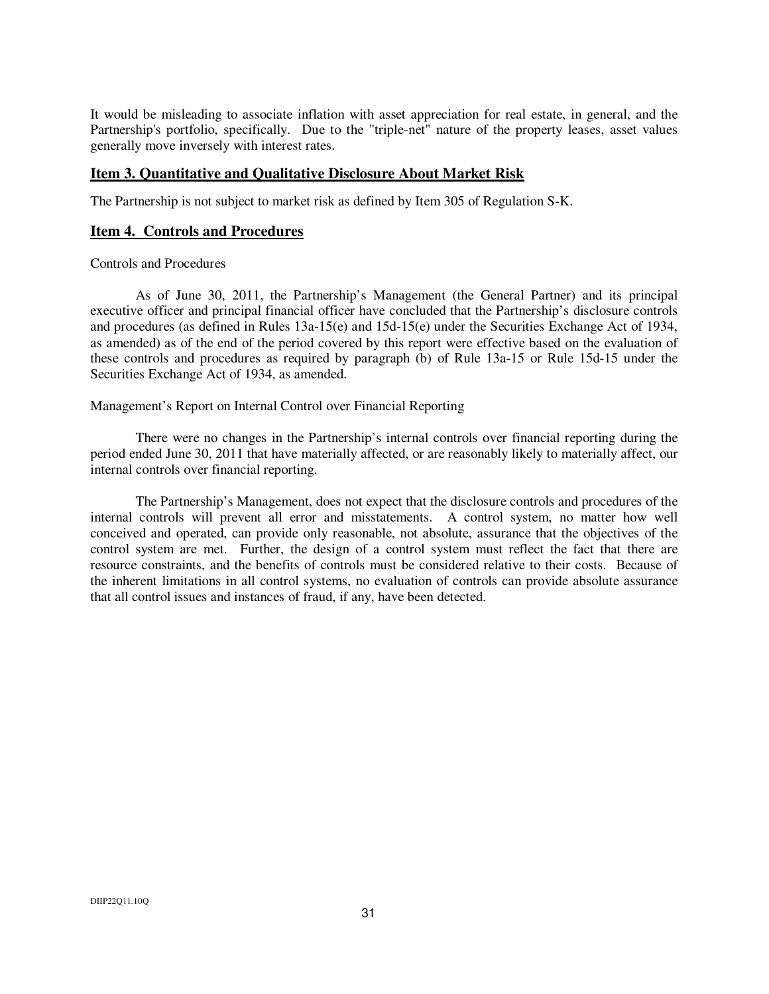It would be misleading to associate inflation with asset appreciation for real estate, in general, and the Partnership's portfolio, specifically. Due to the "triple-net" nature of the property leases, asset values generally move inversely with interest rates.

# **Item 3. Quantitative and Qualitative Disclosure About Market Risk**

The Partnership is not subject to market risk as defined by Item 305 of Regulation S-K.

### **Item 4. Controls and Procedures**

#### Controls and Procedures

 As of June 30, 2011, the Partnership's Management (the General Partner) and its principal executive officer and principal financial officer have concluded that the Partnership's disclosure controls and procedures (as defined in Rules 13a-15(e) and 15d-15(e) under the Securities Exchange Act of 1934, as amended) as of the end of the period covered by this report were effective based on the evaluation of these controls and procedures as required by paragraph (b) of Rule 13a-15 or Rule 15d-15 under the Securities Exchange Act of 1934, as amended.

Management's Report on Internal Control over Financial Reporting

 There were no changes in the Partnership's internal controls over financial reporting during the period ended June 30, 2011 that have materially affected, or are reasonably likely to materially affect, our internal controls over financial reporting.

 The Partnership's Management, does not expect that the disclosure controls and procedures of the internal controls will prevent all error and misstatements. A control system, no matter how well conceived and operated, can provide only reasonable, not absolute, assurance that the objectives of the control system are met. Further, the design of a control system must reflect the fact that there are resource constraints, and the benefits of controls must be considered relative to their costs. Because of the inherent limitations in all control systems, no evaluation of controls can provide absolute assurance that all control issues and instances of fraud, if any, have been detected.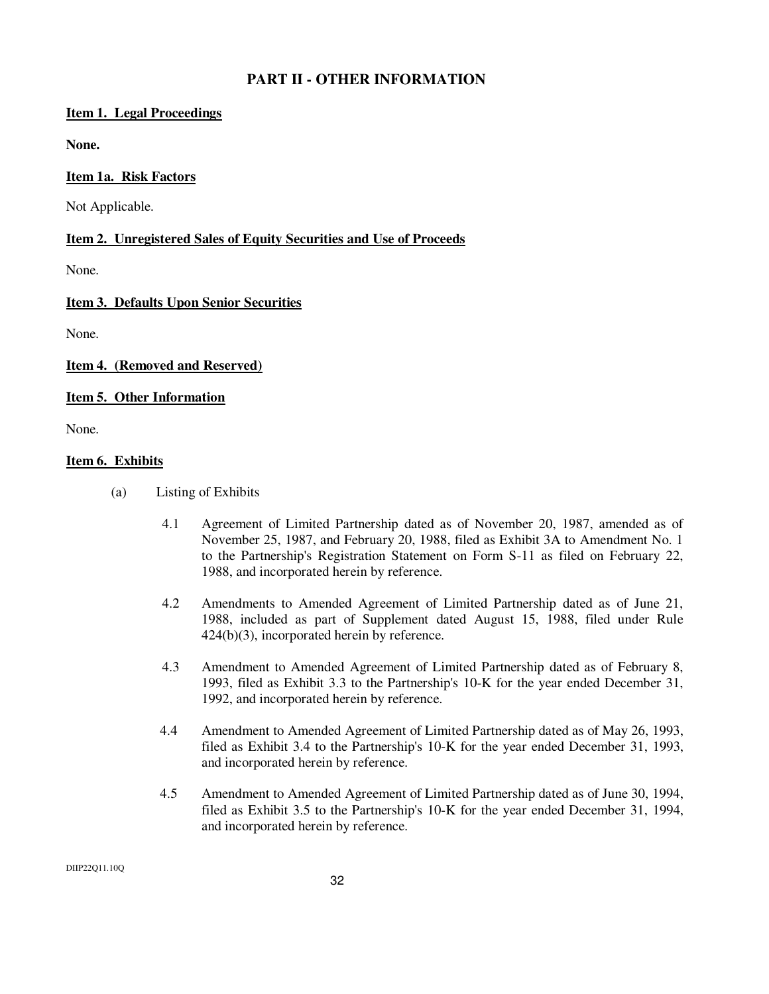# **PART II - OTHER INFORMATION**

# **Item 1. Legal Proceedings**

**None.** 

### **Item 1a. Risk Factors**

Not Applicable.

# **Item 2. Unregistered Sales of Equity Securities and Use of Proceeds**

None.

# **Item 3. Defaults Upon Senior Securities**

None.

# **Item 4. (Removed and Reserved)**

# **Item 5. Other Information**

None.

#### **Item 6. Exhibits**

- (a) Listing of Exhibits
	- 4.1 Agreement of Limited Partnership dated as of November 20, 1987, amended as of November 25, 1987, and February 20, 1988, filed as Exhibit 3A to Amendment No. 1 to the Partnership's Registration Statement on Form S-11 as filed on February 22, 1988, and incorporated herein by reference.
	- 4.2 Amendments to Amended Agreement of Limited Partnership dated as of June 21, 1988, included as part of Supplement dated August 15, 1988, filed under Rule 424(b)(3), incorporated herein by reference.
	- 4.3 Amendment to Amended Agreement of Limited Partnership dated as of February 8, 1993, filed as Exhibit 3.3 to the Partnership's 10-K for the year ended December 31, 1992, and incorporated herein by reference.
	- 4.4 Amendment to Amended Agreement of Limited Partnership dated as of May 26, 1993, filed as Exhibit 3.4 to the Partnership's 10-K for the year ended December 31, 1993, and incorporated herein by reference.
	- 4.5 Amendment to Amended Agreement of Limited Partnership dated as of June 30, 1994, filed as Exhibit 3.5 to the Partnership's 10-K for the year ended December 31, 1994, and incorporated herein by reference.

DIIP22Q11.10Q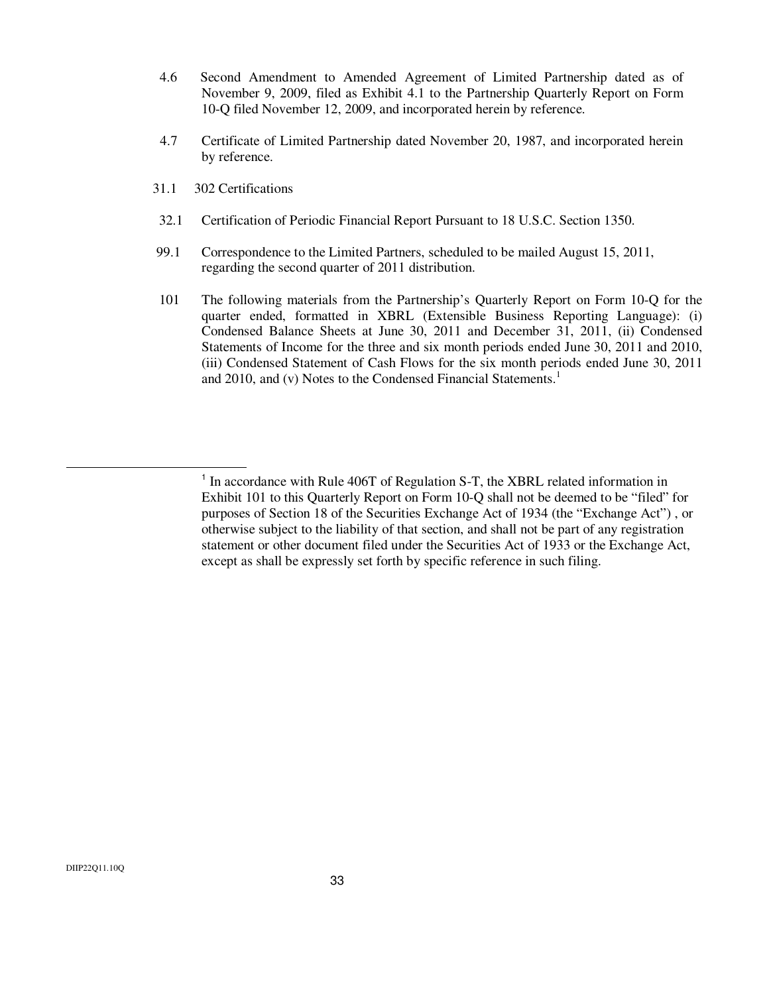- 4.6 Second Amendment to Amended Agreement of Limited Partnership dated as of November 9, 2009, filed as Exhibit 4.1 to the Partnership Quarterly Report on Form 10-Q filed November 12, 2009, and incorporated herein by reference.
- 4.7 Certificate of Limited Partnership dated November 20, 1987, and incorporated herein by reference.
- 31.1 302 Certifications
- 32.1 Certification of Periodic Financial Report Pursuant to 18 U.S.C. Section 1350.
- 99.1 Correspondence to the Limited Partners, scheduled to be mailed August 15, 2011, regarding the second quarter of 2011 distribution.
- 101 The following materials from the Partnership's Quarterly Report on Form 10-Q for the quarter ended, formatted in XBRL (Extensible Business Reporting Language): (i) Condensed Balance Sheets at June 30, 2011 and December 31, 2011, (ii) Condensed Statements of Income for the three and six month periods ended June 30, 2011 and 2010, (iii) Condensed Statement of Cash Flows for the six month periods ended June 30, 2011 and 2010, and (v) Notes to the Condensed Financial Statements.<sup>1</sup>

<sup>&</sup>lt;sup>1</sup> In accordance with Rule 406T of Regulation S-T, the XBRL related information in Exhibit 101 to this Quarterly Report on Form 10-Q shall not be deemed to be "filed" for purposes of Section 18 of the Securities Exchange Act of 1934 (the "Exchange Act") , or otherwise subject to the liability of that section, and shall not be part of any registration statement or other document filed under the Securities Act of 1933 or the Exchange Act, except as shall be expressly set forth by specific reference in such filing.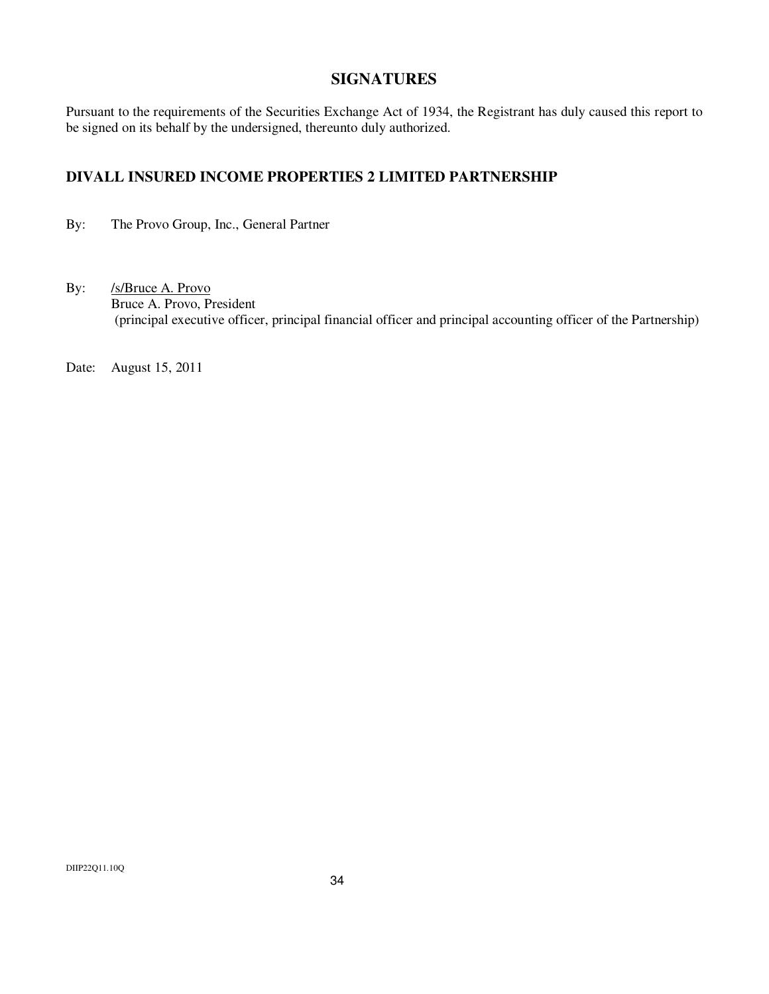# **SIGNATURES**

Pursuant to the requirements of the Securities Exchange Act of 1934, the Registrant has duly caused this report to be signed on its behalf by the undersigned, thereunto duly authorized.

# **DIVALL INSURED INCOME PROPERTIES 2 LIMITED PARTNERSHIP**

By: The Provo Group, Inc., General Partner

By: /s/Bruce A. Provo Bruce A. Provo, President (principal executive officer, principal financial officer and principal accounting officer of the Partnership)

Date: August 15, 2011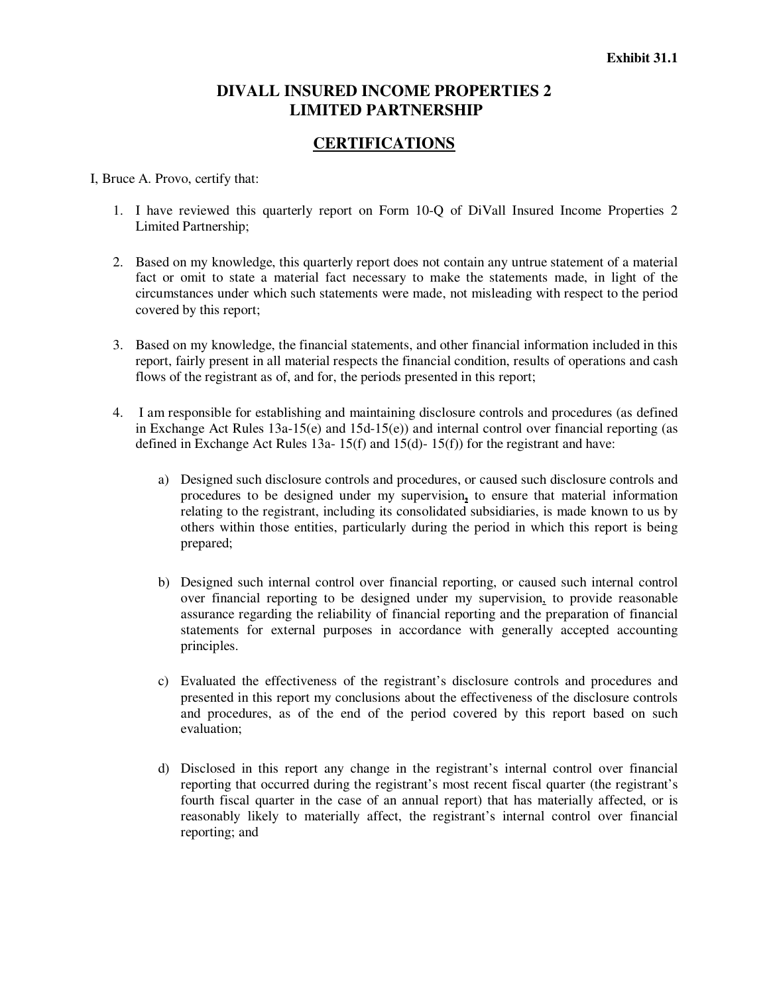# **DIVALL INSURED INCOME PROPERTIES 2 LIMITED PARTNERSHIP**

# **CERTIFICATIONS**

I, Bruce A. Provo, certify that:

- 1. I have reviewed this quarterly report on Form 10-Q of DiVall Insured Income Properties 2 Limited Partnership;
- 2. Based on my knowledge, this quarterly report does not contain any untrue statement of a material fact or omit to state a material fact necessary to make the statements made, in light of the circumstances under which such statements were made, not misleading with respect to the period covered by this report;
- 3. Based on my knowledge, the financial statements, and other financial information included in this report, fairly present in all material respects the financial condition, results of operations and cash flows of the registrant as of, and for, the periods presented in this report;
- 4. I am responsible for establishing and maintaining disclosure controls and procedures (as defined in Exchange Act Rules  $13a-15(e)$  and  $15d-15(e)$  and internal control over financial reporting (as defined in Exchange Act Rules 13a- 15(f) and 15(d)- 15(f)) for the registrant and have:
	- a) Designed such disclosure controls and procedures, or caused such disclosure controls and procedures to be designed under my supervision**,** to ensure that material information relating to the registrant, including its consolidated subsidiaries, is made known to us by others within those entities, particularly during the period in which this report is being prepared;
	- b) Designed such internal control over financial reporting, or caused such internal control over financial reporting to be designed under my supervision, to provide reasonable assurance regarding the reliability of financial reporting and the preparation of financial statements for external purposes in accordance with generally accepted accounting principles.
	- c) Evaluated the effectiveness of the registrant's disclosure controls and procedures and presented in this report my conclusions about the effectiveness of the disclosure controls and procedures, as of the end of the period covered by this report based on such evaluation;
	- d) Disclosed in this report any change in the registrant's internal control over financial reporting that occurred during the registrant's most recent fiscal quarter (the registrant's fourth fiscal quarter in the case of an annual report) that has materially affected, or is reasonably likely to materially affect, the registrant's internal control over financial reporting; and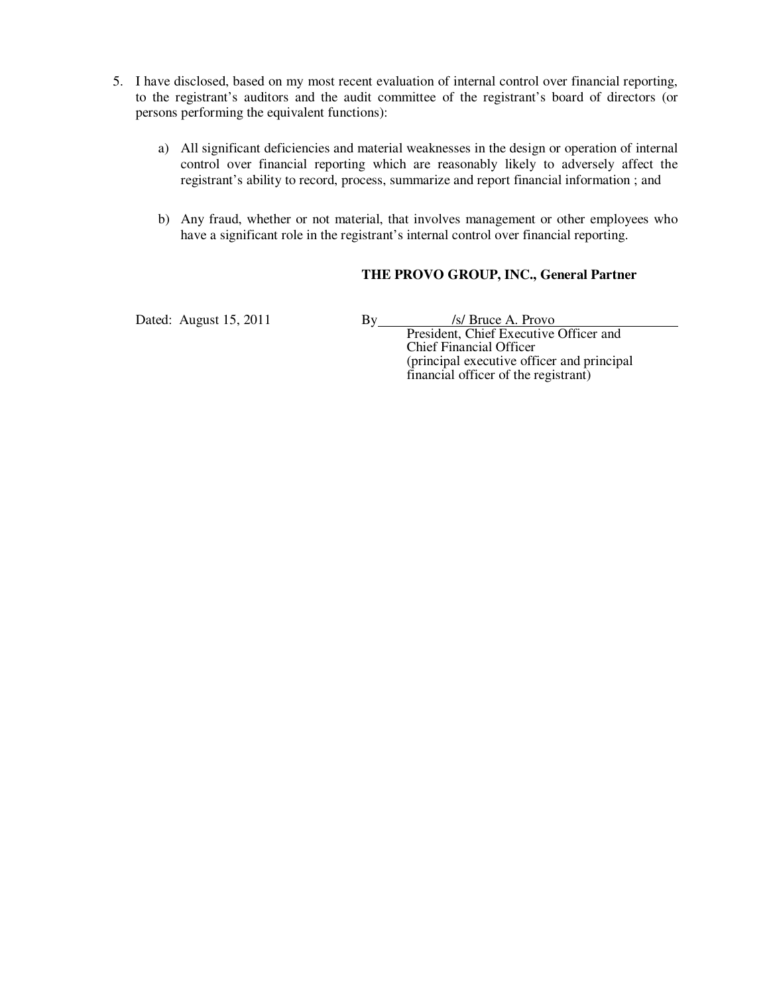- 5. I have disclosed, based on my most recent evaluation of internal control over financial reporting, to the registrant's auditors and the audit committee of the registrant's board of directors (or persons performing the equivalent functions):
	- a) All significant deficiencies and material weaknesses in the design or operation of internal control over financial reporting which are reasonably likely to adversely affect the registrant's ability to record, process, summarize and report financial information ; and
	- b) Any fraud, whether or not material, that involves management or other employees who have a significant role in the registrant's internal control over financial reporting.

# **THE PROVO GROUP, INC., General Partner**

Dated: August 15, 2011 By *Isl Bruce A. Provo*  President, Chief Executive Officer and Chief Financial Officer (principal executive officer and principal financial officer of the registrant)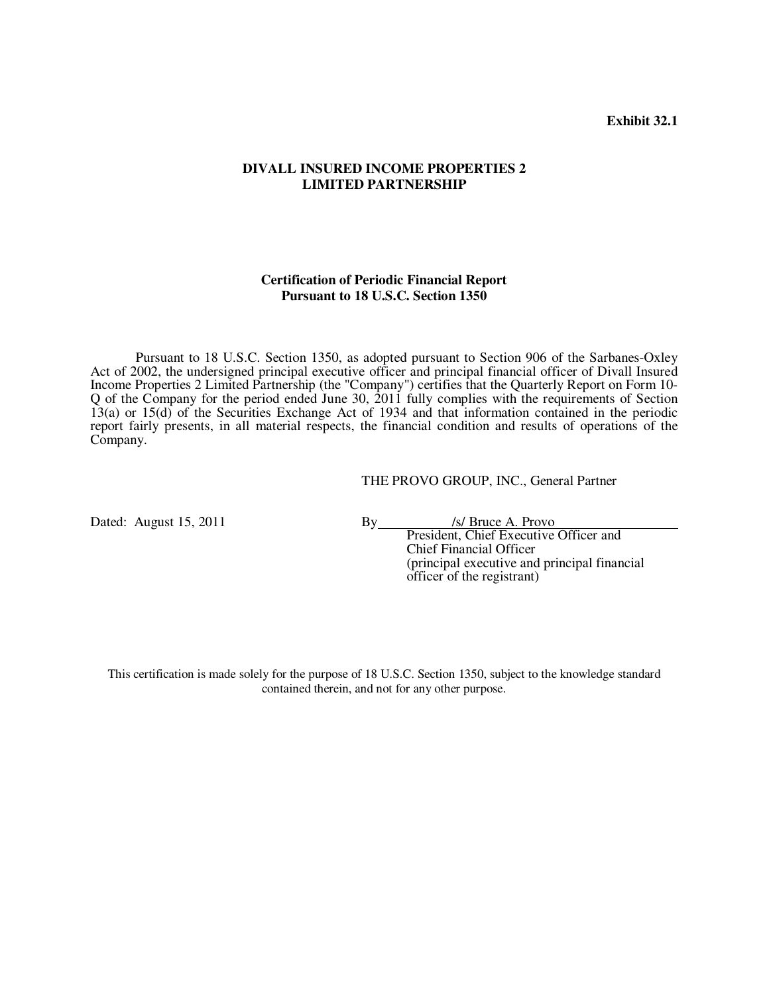**Exhibit 32.1** 

#### **DIVALL INSURED INCOME PROPERTIES 2 LIMITED PARTNERSHIP**

#### **Certification of Periodic Financial Report Pursuant to 18 U.S.C. Section 1350**

 Pursuant to 18 U.S.C. Section 1350, as adopted pursuant to Section 906 of the Sarbanes-Oxley Act of 2002, the undersigned principal executive officer and principal financial officer of Divall Insured Income Properties 2 Limited Partnership (the "Company") certifies that the Quarterly Report on Form 10- Q of the Company for the period ended June 30, 2011 fully complies with the requirements of Section 13(a) or 15(d) of the Securities Exchange Act of 1934 and that information contained in the periodic report fairly presents, in all material respects, the financial condition and results of operations of the Company.

#### THE PROVO GROUP, INC., General Partner

Dated: August 15, 2011 By *Is/ Bruce A. Provo* 

 President, Chief Executive Officer and Chief Financial Officer (principal executive and principal financial officer of the registrant)

This certification is made solely for the purpose of 18 U.S.C. Section 1350, subject to the knowledge standard contained therein, and not for any other purpose.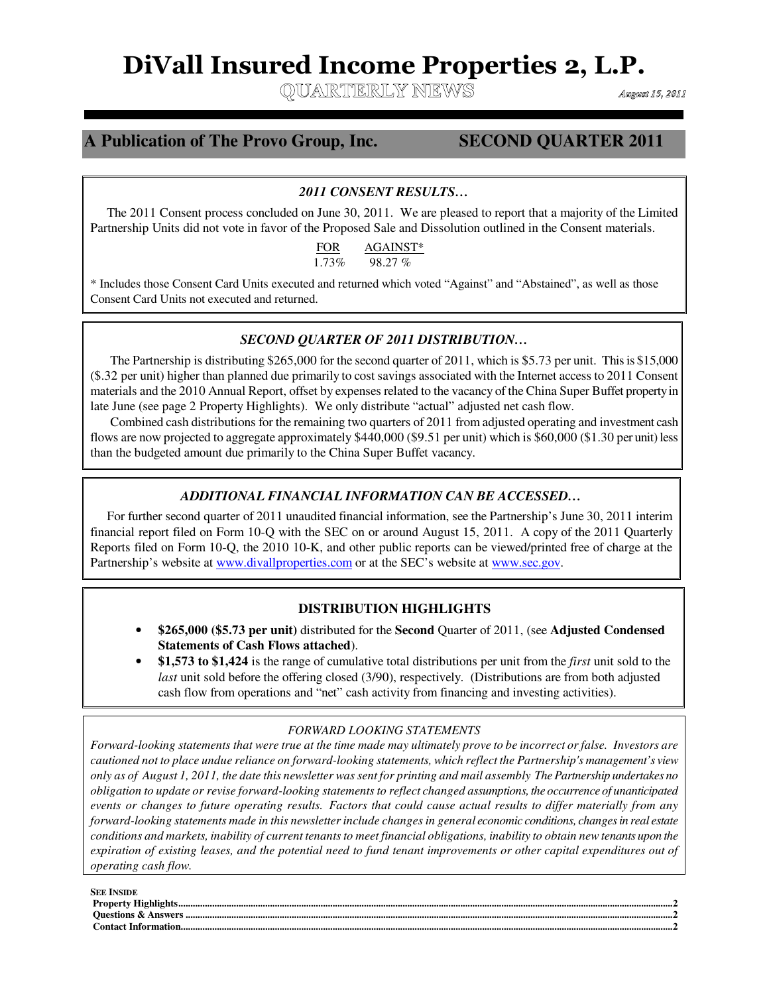# **DiVall Insured Income Properties 2, L.P.**

OUARTERLY NEWS

August 15, 2011

#### **A Publication of The Provo Group, Inc. SECOND QUARTER 2011** ı

ֺ

i<br>L

### *2011 CONSENT RESULTS…*

 The 2011 Consent process concluded on June 30, 2011. We are pleased to report that a majority of the Limited Partnership Units did not vote in favor of the Proposed Sale and Dissolution outlined in the Consent materials.

> FOR AGAINST\* 1.73% 98.27 %

\* Includes those Consent Card Units executed and returned which voted "Against" and "Abstained", as well as those Consent Card Units not executed and returned.

#### *SECOND QUARTER OF 2011 DISTRIBUTION…*

 The Partnership is distributing \$265,000 for the second quarter of 2011, which is \$5.73 per unit. This is \$15,000 (\$.32 per unit) higher than planned due primarily to cost savings associated with the Internet access to 2011 Consent materials and the 2010 Annual Report, offset by expenses related to the vacancy of the China Super Buffet property in late June (see page 2 Property Highlights). We only distribute "actual" adjusted net cash flow.

 Combined cash distributions for the remaining two quarters of 2011 from adjusted operating and investment cash flows are now projected to aggregate approximately \$440,000 (\$9.51 per unit) which is \$60,000 (\$1.30 per unit) less than the budgeted amount due primarily to the China Super Buffet vacancy.

#### *ADDITIONAL FINANCIAL INFORMATION CAN BE ACCESSED…*

 For further second quarter of 2011 unaudited financial information, see the Partnership's June 30, 2011 interim financial report filed on Form 10-Q with the SEC on or around August 15, 2011. A copy of the 2011 Quarterly Reports filed on Form 10-Q, the 2010 10-K, and other public reports can be viewed/printed free of charge at the Partnership's website at <u>www.divallproperties.com</u> or at the SEC's website at <u>www.sec.gov</u>.

#### **DISTRIBUTION HIGHLIGHTS**

- **\$265,000 (\$5.73 per unit)** distributed for the **Second** Quarter of 2011, (see **Adjusted Condensed Statements of Cash Flows attached**).
- **\$1,573 to \$1,424** is the range of cumulative total distributions per unit from the *first* unit sold to the *last* unit sold before the offering closed (3/90), respectively. (Distributions are from both adjusted cash flow from operations and "net" cash activity from financing and investing activities).

#### *FORWARD LOOKING STATEMENTS*

*Forward-looking statements that were true at the time made may ultimately prove to be incorrect or false. Investors are cautioned not to place undue reliance on forward-looking statements, which reflect the Partnership's management's view only as of August 1, 2011, the date this newsletter was sent for printing and mail assembly The Partnership undertakes no obligation to update or revise forward-looking statements to reflect changed assumptions, the occurrence of unanticipated events or changes to future operating results. Factors that could cause actual results to differ materially from any forward-looking statements made in this newsletter include changes in general economic conditions, changes in real estate conditions and markets, inability of current tenants to meet financial obligations, inability to obtain new tenants upon the expiration of existing leases, and the potential need to fund tenant improvements or other capital expenditures out of operating cash flow.*

| <b>SEE INSIDE</b> |
|-------------------|
|                   |
|                   |
|                   |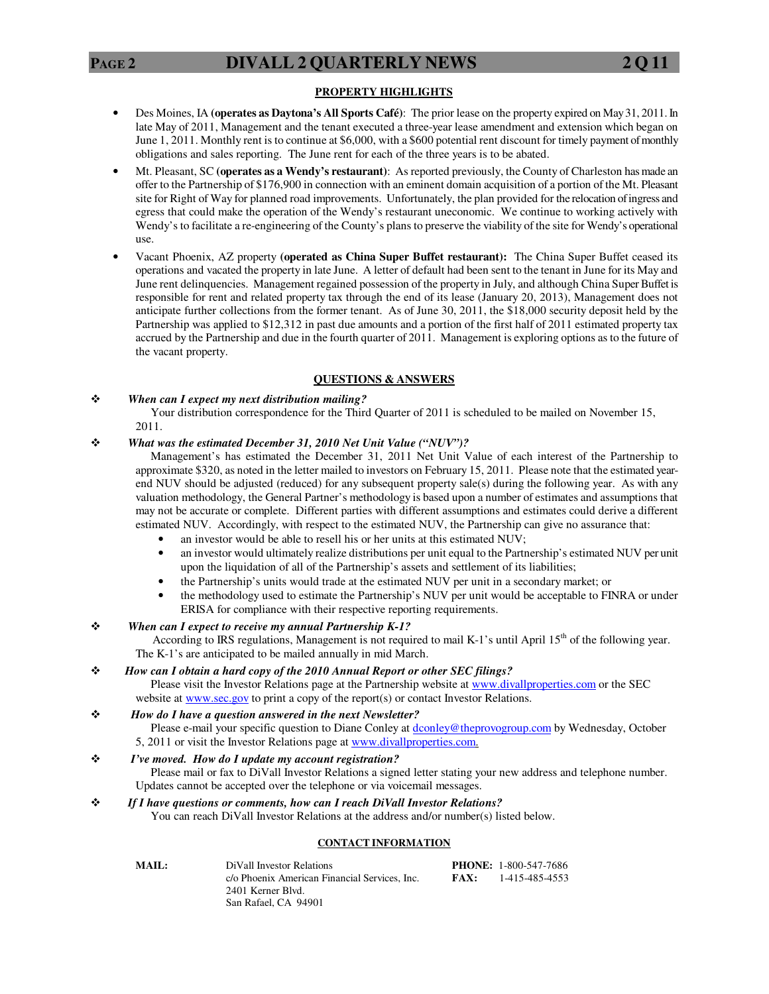#### **PROPERTY HIGHLIGHTS**

- Des Moines, IA **(operates as Daytona's All Sports Café)**: The prior lease on the property expired on May 31, 2011. In late May of 2011, Management and the tenant executed a three-year lease amendment and extension which began on June 1, 2011. Monthly rent is to continue at \$6,000, with a \$600 potential rent discount for timely payment of monthly obligations and sales reporting. The June rent for each of the three years is to be abated.
- Mt. Pleasant, SC **(operates as a Wendy's restaurant)**: As reported previously, the County of Charleston has made an offer to the Partnership of \$176,900 in connection with an eminent domain acquisition of a portion of the Mt. Pleasant site for Right of Way for planned road improvements. Unfortunately, the plan provided for the relocation of ingress and egress that could make the operation of the Wendy's restaurant uneconomic. We continue to working actively with Wendy's to facilitate a re-engineering of the County's plans to preserve the viability of the site for Wendy's operational use.
- Vacant Phoenix, AZ property **(operated as China Super Buffet restaurant):** The China Super Buffet ceased its operations and vacated the property in late June. A letter of default had been sent to the tenant in June for its May and June rent delinquencies. Management regained possession of the property in July, and although China Super Buffet is responsible for rent and related property tax through the end of its lease (January 20, 2013), Management does not anticipate further collections from the former tenant. As of June 30, 2011, the \$18,000 security deposit held by the Partnership was applied to \$12,312 in past due amounts and a portion of the first half of 2011 estimated property tax accrued by the Partnership and due in the fourth quarter of 2011. Management is exploring options as to the future of the vacant property.

#### **QUESTIONS & ANSWERS**

#### *When can I expect my next distribution mailing?*

 Your distribution correspondence for the Third Quarter of 2011 is scheduled to be mailed on November 15, 2011.

#### *What was the estimated December 31, 2010 Net Unit Value ("NUV")?*

 Management's has estimated the December 31, 2011 Net Unit Value of each interest of the Partnership to approximate \$320, as noted in the letter mailed to investors on February 15, 2011. Please note that the estimated yearend NUV should be adjusted (reduced) for any subsequent property sale(s) during the following year. As with any valuation methodology, the General Partner's methodology is based upon a number of estimates and assumptions that may not be accurate or complete. Different parties with different assumptions and estimates could derive a different estimated NUV. Accordingly, with respect to the estimated NUV, the Partnership can give no assurance that:

- an investor would be able to resell his or her units at this estimated NUV;
- an investor would ultimately realize distributions per unit equal to the Partnership's estimated NUV per unit upon the liquidation of all of the Partnership's assets and settlement of its liabilities;
- the Partnership's units would trade at the estimated NUV per unit in a secondary market; or
- the methodology used to estimate the Partnership's NUV per unit would be acceptable to FINRA or under ERISA for compliance with their respective reporting requirements.

#### *When can I expect to receive my annual Partnership K-1?*

According to IRS regulations, Management is not required to mail K-1's until April 15<sup>th</sup> of the following year. The K-1's are anticipated to be mailed annually in mid March.

#### *How can I obtain a hard copy of the 2010 Annual Report or other SEC filings?*

Please visit the Investor Relations page at the Partnership website at www.divallproperties.com or the SEC website at **www.sec.gov** to print a copy of the report(s) or contact Investor Relations.

#### *How do I have a question answered in the next Newsletter?*

Please e-mail your specific question to Diane Conley at dconley@theprovogroup.com by Wednesday, October 5, 2011 or visit the Investor Relations page at www.divallproperties.com.

#### *I've moved. How do I update my account registration?*

 Please mail or fax to DiVall Investor Relations a signed letter stating your new address and telephone number. Updates cannot be accepted over the telephone or via voicemail messages.

#### *If I have questions or comments, how can I reach DiVall Investor Relations?*

You can reach DiVall Investor Relations at the address and/or number(s) listed below.

#### **CONTACT INFORMATION**

| MAIL: | DiVall Investor Relations                     |      | <b>PHONE: 1-800-547-7686</b> |
|-------|-----------------------------------------------|------|------------------------------|
|       | c/o Phoenix American Financial Services, Inc. | FAX: | 1-415-485-4553               |
|       | 2401 Kerner Blvd.                             |      |                              |
|       | San Rafael, CA 94901                          |      |                              |